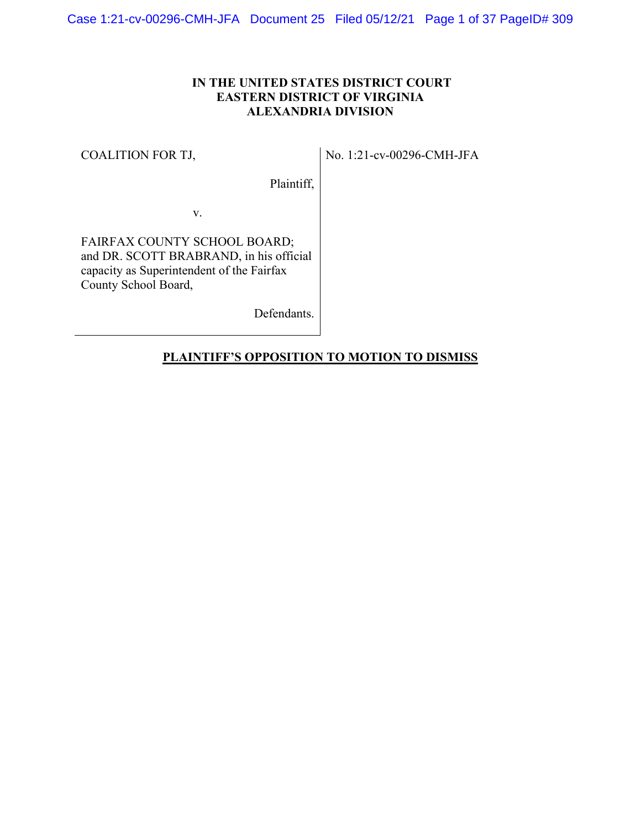### **IN THE UNITED STATES DISTRICT COURT EASTERN DISTRICT OF VIRGINIA ALEXANDRIA DIVISION**

#### COALITION FOR TJ,

No. 1:21-cv-00296-CMH-JFA

Plaintiff,

v.

FAIRFAX COUNTY SCHOOL BOARD; and DR. SCOTT BRABRAND, in his official capacity as Superintendent of the Fairfax County School Board,

Defendants.

### **PLAINTIFF'S OPPOSITION TO MOTION TO DISMISS**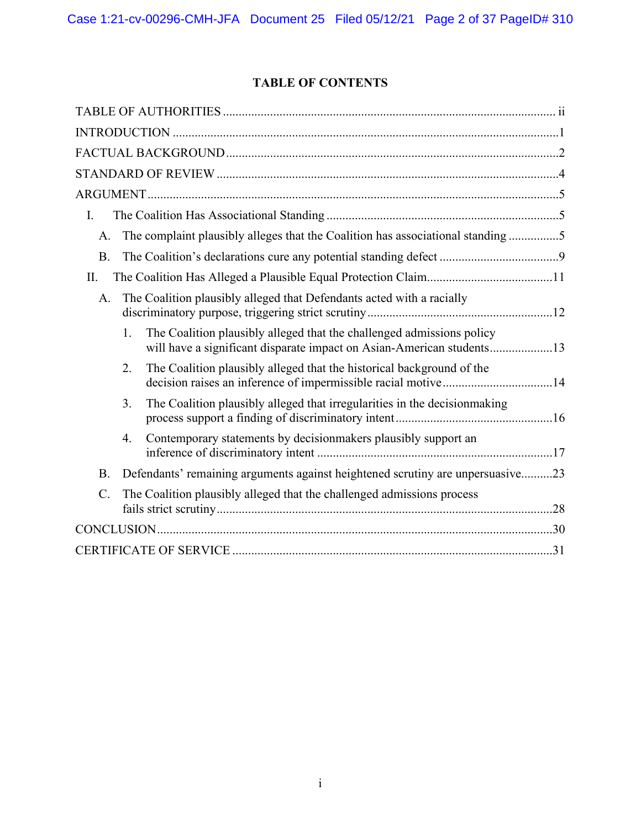# **TABLE OF CONTENTS**

| I.                                                                                                                                                   |
|------------------------------------------------------------------------------------------------------------------------------------------------------|
| The complaint plausibly alleges that the Coalition has associational standing5<br>A.                                                                 |
| <b>B.</b>                                                                                                                                            |
| II.                                                                                                                                                  |
| The Coalition plausibly alleged that Defendants acted with a racially<br>A.                                                                          |
| The Coalition plausibly alleged that the challenged admissions policy<br>1.<br>will have a significant disparate impact on Asian-American students13 |
| The Coalition plausibly alleged that the historical background of the<br>2.                                                                          |
| The Coalition plausibly alleged that irregularities in the decision making<br>3.                                                                     |
| Contemporary statements by decisionmakers plausibly support an<br>4.                                                                                 |
| Defendants' remaining arguments against heightened scrutiny are unpersuasive23<br><b>B.</b>                                                          |
| C.<br>The Coalition plausibly alleged that the challenged admissions process                                                                         |
|                                                                                                                                                      |
|                                                                                                                                                      |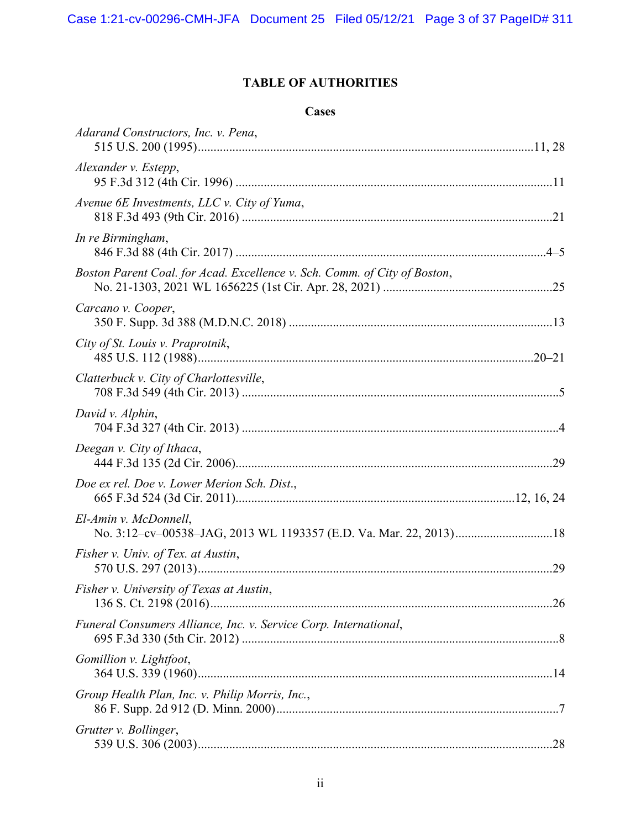# **TABLE OF AUTHORITIES**

# **Cases**

| Adarand Constructors, Inc. v. Pena,                                       |  |
|---------------------------------------------------------------------------|--|
| Alexander v. Estepp,                                                      |  |
| Avenue 6E Investments, LLC v. City of Yuma,                               |  |
| In re Birmingham,                                                         |  |
| Boston Parent Coal. for Acad. Excellence v. Sch. Comm. of City of Boston, |  |
| Carcano v. Cooper,                                                        |  |
| City of St. Louis v. Praprotnik,                                          |  |
| Clatterbuck v. City of Charlottesville,                                   |  |
| David v. Alphin,                                                          |  |
| Deegan v. City of Ithaca,                                                 |  |
| Doe ex rel. Doe v. Lower Merion Sch. Dist.,                               |  |
| El-Amin v. McDonnell,                                                     |  |
| Fisher v. Univ. of Tex. at Austin,                                        |  |
| Fisher v. University of Texas at Austin,                                  |  |
| Funeral Consumers Alliance, Inc. v. Service Corp. International,          |  |
| Gomillion v. Lightfoot,                                                   |  |
| Group Health Plan, Inc. v. Philip Morris, Inc.,                           |  |
| Grutter v. Bollinger,                                                     |  |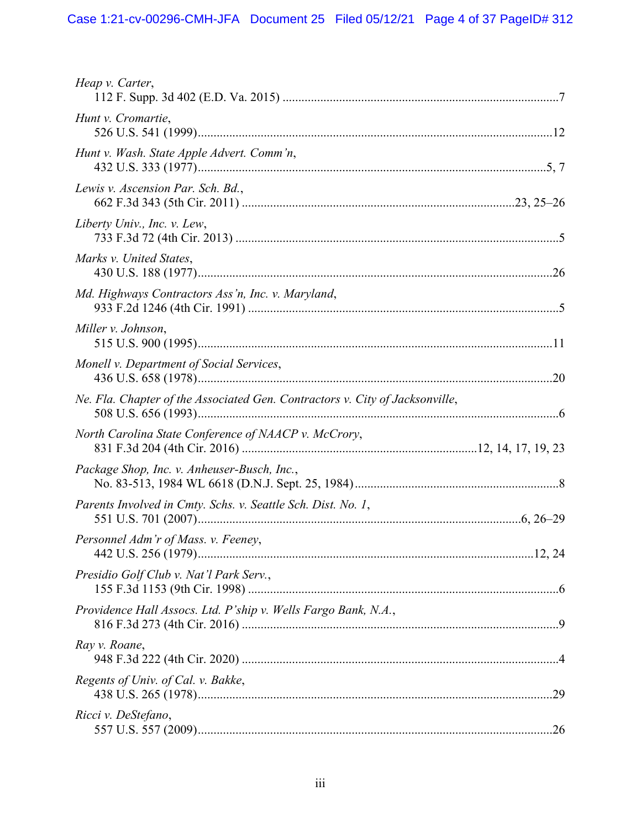| Heap v. Carter,                                                              |  |
|------------------------------------------------------------------------------|--|
| Hunt v. Cromartie,                                                           |  |
| Hunt v. Wash. State Apple Advert. Comm'n,                                    |  |
| Lewis v. Ascension Par. Sch. Bd.,                                            |  |
| Liberty Univ., Inc. v. Lew,                                                  |  |
| Marks v. United States,                                                      |  |
| Md. Highways Contractors Ass'n, Inc. v. Maryland,                            |  |
| Miller v. Johnson,                                                           |  |
| Monell v. Department of Social Services,                                     |  |
| Ne. Fla. Chapter of the Associated Gen. Contractors v. City of Jacksonville, |  |
| North Carolina State Conference of NAACP v. McCrory,                         |  |
| Package Shop, Inc. v. Anheuser-Busch, Inc.,                                  |  |
| Parents Involved in Cmty. Schs. v. Seattle Sch. Dist. No. 1,                 |  |
| Personnel Adm'r of Mass. v. Feeney,                                          |  |
| Presidio Golf Club v. Nat'l Park Serv.,                                      |  |
| Providence Hall Assocs. Ltd. P'ship v. Wells Fargo Bank, N.A.,               |  |
| Ray v. Roane,                                                                |  |
| Regents of Univ. of Cal. v. Bakke,                                           |  |
| Ricci v. DeStefano,                                                          |  |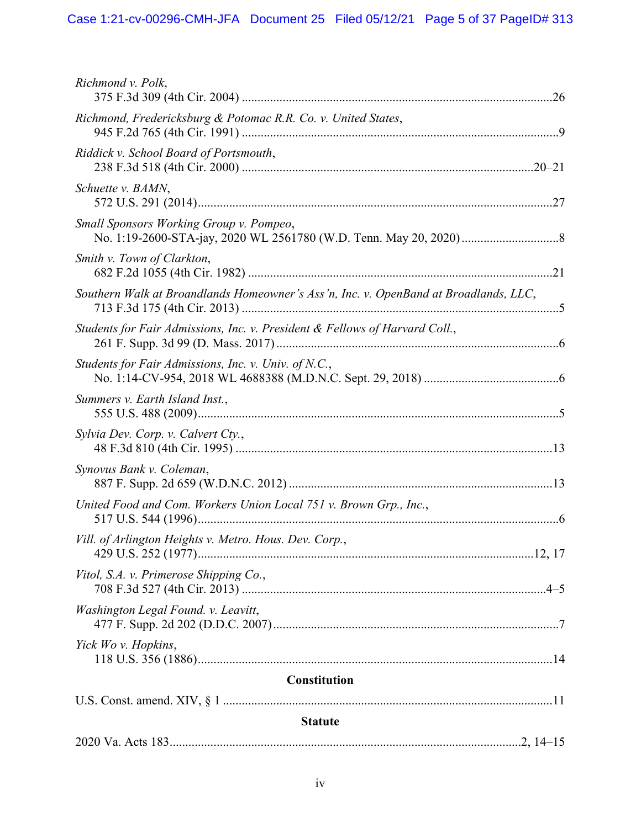| Richmond v. Polk,                                                                    |
|--------------------------------------------------------------------------------------|
| Richmond, Fredericksburg & Potomac R.R. Co. v. United States,                        |
| Riddick v. School Board of Portsmouth,                                               |
| Schuette v. BAMN,                                                                    |
| Small Sponsors Working Group v. Pompeo,                                              |
| Smith v. Town of Clarkton,                                                           |
| Southern Walk at Broandlands Homeowner's Ass'n, Inc. v. OpenBand at Broadlands, LLC, |
| Students for Fair Admissions, Inc. v. President & Fellows of Harvard Coll.,          |
| Students for Fair Admissions, Inc. v. Univ. of N.C.,                                 |
| Summers v. Earth Island Inst.,                                                       |
| Sylvia Dev. Corp. v. Calvert Cty.,                                                   |
| Synovus Bank v. Coleman,                                                             |
| United Food and Com. Workers Union Local 751 v. Brown Grp., Inc.,                    |
| Vill. of Arlington Heights v. Metro. Hous. Dev. Corp.,                               |
| Vitol, S.A. v. Primerose Shipping Co.,                                               |
| Washington Legal Found. v. Leavitt,                                                  |
| Yick Wo v. Hopkins,                                                                  |
| <b>Constitution</b>                                                                  |
|                                                                                      |
| <b>Statute</b>                                                                       |
|                                                                                      |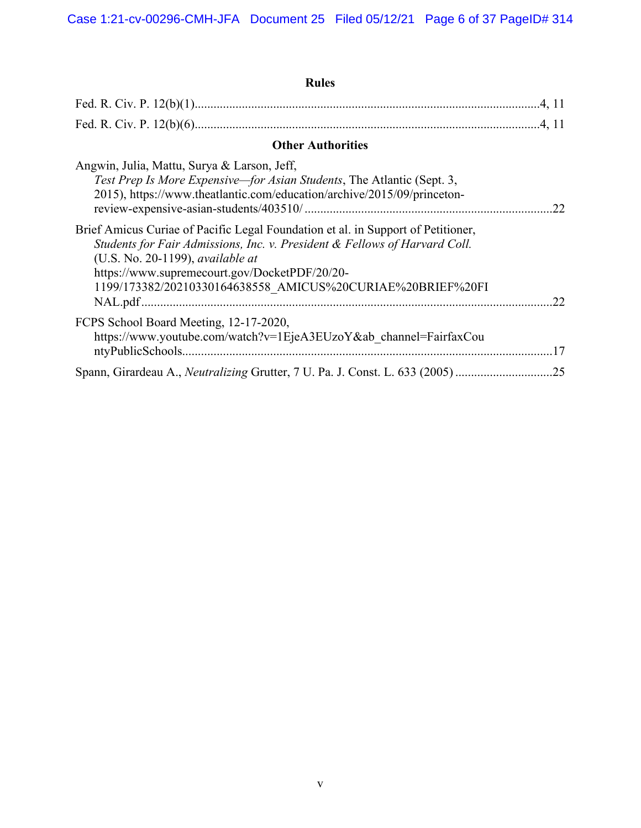| <b>Rules</b>                                                                                                                                                                                                                                                                                                             |
|--------------------------------------------------------------------------------------------------------------------------------------------------------------------------------------------------------------------------------------------------------------------------------------------------------------------------|
|                                                                                                                                                                                                                                                                                                                          |
|                                                                                                                                                                                                                                                                                                                          |
| <b>Other Authorities</b>                                                                                                                                                                                                                                                                                                 |
| Angwin, Julia, Mattu, Surya & Larson, Jeff,<br>Test Prep Is More Expensive—for Asian Students, The Atlantic (Sept. 3,<br>2015), https://www.theatlantic.com/education/archive/2015/09/princeton-<br>.22                                                                                                                  |
| Brief Amicus Curiae of Pacific Legal Foundation et al. in Support of Petitioner,<br>Students for Fair Admissions, Inc. v. President & Fellows of Harvard Coll.<br>(U.S. No. 20-1199), available at<br>https://www.supremecourt.gov/DocketPDF/20/20-<br>1199/173382/20210330164638558_AMICUS%20CURIAE%20BRIEF%20FI<br>.22 |
| FCPS School Board Meeting, 12-17-2020,<br>https://www.youtube.com/watch?v=1EjeA3EUzoY&ab channel=FairfaxCou<br>17                                                                                                                                                                                                        |
| .25                                                                                                                                                                                                                                                                                                                      |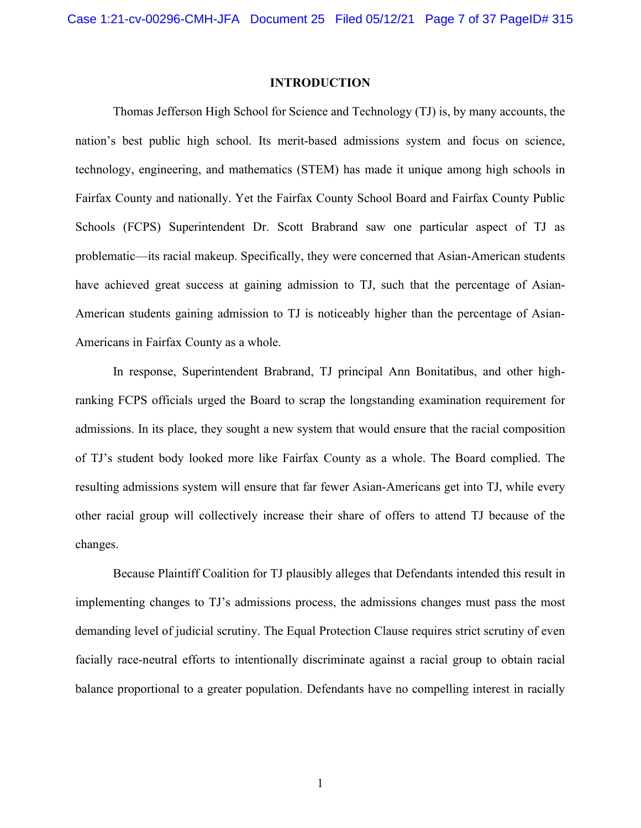#### **INTRODUCTION**

Thomas Jefferson High School for Science and Technology (TJ) is, by many accounts, the nation's best public high school. Its merit-based admissions system and focus on science, technology, engineering, and mathematics (STEM) has made it unique among high schools in Fairfax County and nationally. Yet the Fairfax County School Board and Fairfax County Public Schools (FCPS) Superintendent Dr. Scott Brabrand saw one particular aspect of TJ as problematic—its racial makeup. Specifically, they were concerned that Asian-American students have achieved great success at gaining admission to TJ, such that the percentage of Asian-American students gaining admission to TJ is noticeably higher than the percentage of Asian-Americans in Fairfax County as a whole.

In response, Superintendent Brabrand, TJ principal Ann Bonitatibus, and other highranking FCPS officials urged the Board to scrap the longstanding examination requirement for admissions. In its place, they sought a new system that would ensure that the racial composition of TJ's student body looked more like Fairfax County as a whole. The Board complied. The resulting admissions system will ensure that far fewer Asian-Americans get into TJ, while every other racial group will collectively increase their share of offers to attend TJ because of the changes.

Because Plaintiff Coalition for TJ plausibly alleges that Defendants intended this result in implementing changes to TJ's admissions process, the admissions changes must pass the most demanding level of judicial scrutiny. The Equal Protection Clause requires strict scrutiny of even facially race-neutral efforts to intentionally discriminate against a racial group to obtain racial balance proportional to a greater population. Defendants have no compelling interest in racially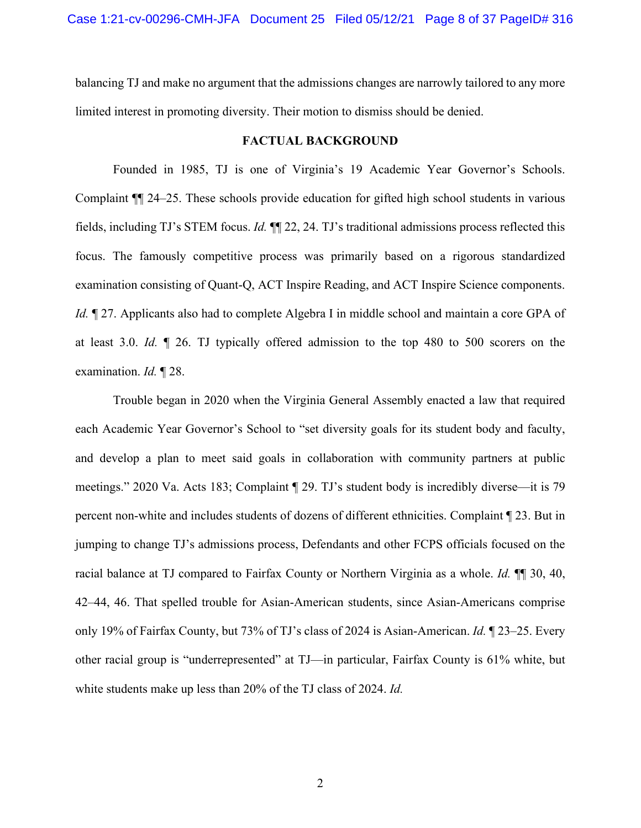balancing TJ and make no argument that the admissions changes are narrowly tailored to any more limited interest in promoting diversity. Their motion to dismiss should be denied.

#### **FACTUAL BACKGROUND**

Founded in 1985, TJ is one of Virginia's 19 Academic Year Governor's Schools. Complaint ¶¶ 24–25. These schools provide education for gifted high school students in various fields, including TJ's STEM focus. *Id.* ¶¶ 22, 24. TJ's traditional admissions process reflected this focus. The famously competitive process was primarily based on a rigorous standardized examination consisting of Quant-Q, ACT Inspire Reading, and ACT Inspire Science components. *Id.*  $\parallel$  27. Applicants also had to complete Algebra I in middle school and maintain a core GPA of at least 3.0. *Id.* ¶ 26. TJ typically offered admission to the top 480 to 500 scorers on the examination. *Id.* ¶ 28.

<span id="page-7-0"></span>Trouble began in 2020 when the Virginia General Assembly enacted a law that required each Academic Year Governor's School to "set diversity goals for its student body and faculty, and develop a plan to meet said goals in collaboration with community partners at public meetings." 2020 Va. Acts 183; Complaint ¶ 29. TJ's student body is incredibly diverse—it is 79 percent non-white and includes students of dozens of different ethnicities. Complaint ¶ 23. But in jumping to change TJ's admissions process, Defendants and other FCPS officials focused on the racial balance at TJ compared to Fairfax County or Northern Virginia as a whole. *Id.* ¶¶ 30, 40, 42–44, 46. That spelled trouble for Asian-American students, since Asian-Americans comprise only 19% of Fairfax County, but 73% of TJ's class of 2024 is Asian-American. *Id.* ¶ 23–25. Every other racial group is "underrepresented" at TJ—in particular, Fairfax County is 61% white, but white students make up less than 20% of the TJ class of 2024. *Id.*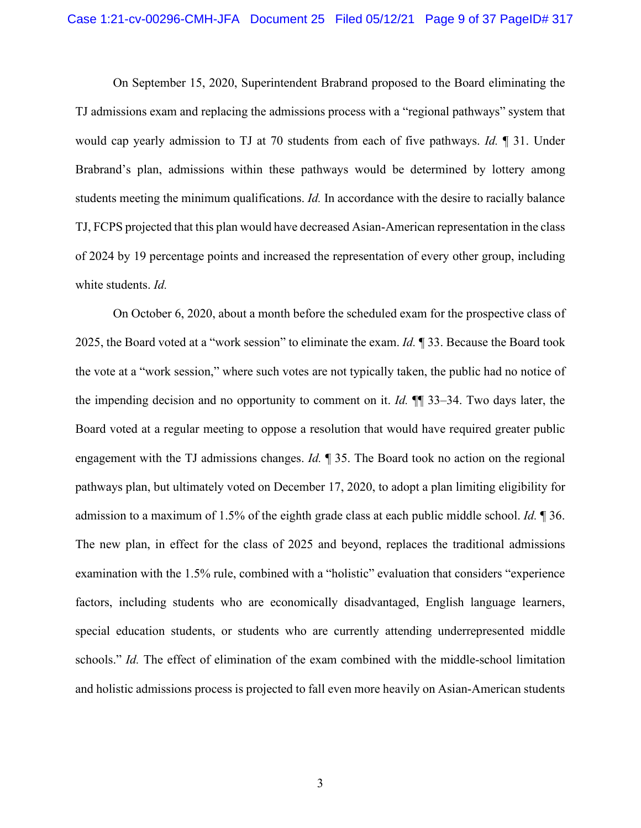On September 15, 2020, Superintendent Brabrand proposed to the Board eliminating the TJ admissions exam and replacing the admissions process with a "regional pathways" system that would cap yearly admission to TJ at 70 students from each of five pathways. *Id.* ¶ 31. Under Brabrand's plan, admissions within these pathways would be determined by lottery among students meeting the minimum qualifications. *Id.* In accordance with the desire to racially balance TJ, FCPS projected that this plan would have decreased Asian-American representation in the class of 2024 by 19 percentage points and increased the representation of every other group, including white students. *Id.*

On October 6, 2020, about a month before the scheduled exam for the prospective class of 2025, the Board voted at a "work session" to eliminate the exam. *Id.* ¶ 33. Because the Board took the vote at a "work session," where such votes are not typically taken, the public had no notice of the impending decision and no opportunity to comment on it. *Id.* ¶¶ 33–34. Two days later, the Board voted at a regular meeting to oppose a resolution that would have required greater public engagement with the TJ admissions changes. *Id.* ¶ 35. The Board took no action on the regional pathways plan, but ultimately voted on December 17, 2020, to adopt a plan limiting eligibility for admission to a maximum of 1.5% of the eighth grade class at each public middle school. *Id.* ¶ 36. The new plan, in effect for the class of 2025 and beyond, replaces the traditional admissions examination with the 1.5% rule, combined with a "holistic" evaluation that considers "experience factors, including students who are economically disadvantaged, English language learners, special education students, or students who are currently attending underrepresented middle schools." *Id.* The effect of elimination of the exam combined with the middle-school limitation and holistic admissions process is projected to fall even more heavily on Asian-American students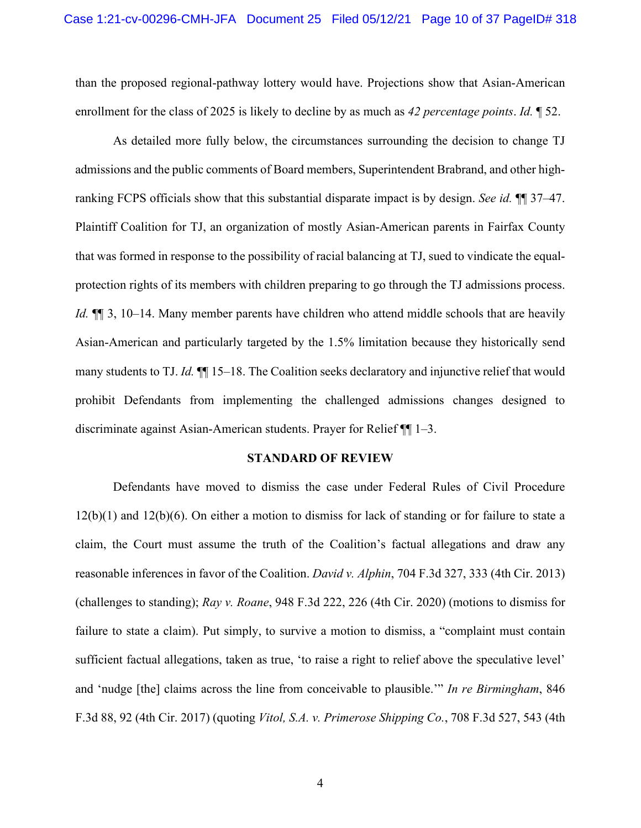than the proposed regional-pathway lottery would have. Projections show that Asian-American enrollment for the class of 2025 is likely to decline by as much as *42 percentage points*. *Id.* ¶ 52.

As detailed more fully below, the circumstances surrounding the decision to change TJ admissions and the public comments of Board members, Superintendent Brabrand, and other highranking FCPS officials show that this substantial disparate impact is by design. *See id.* ¶¶ 37–47. Plaintiff Coalition for TJ, an organization of mostly Asian-American parents in Fairfax County that was formed in response to the possibility of racial balancing at TJ, sued to vindicate the equalprotection rights of its members with children preparing to go through the TJ admissions process. *Id.* ¶¶ 3, 10–14. Many member parents have children who attend middle schools that are heavily Asian-American and particularly targeted by the 1.5% limitation because they historically send many students to TJ. *Id.*  $\P$  15–18. The Coalition seeks declaratory and injunctive relief that would prohibit Defendants from implementing the challenged admissions changes designed to discriminate against Asian-American students. Prayer for Relief ¶¶ 1–3.

#### <span id="page-9-4"></span><span id="page-9-3"></span><span id="page-9-2"></span><span id="page-9-1"></span><span id="page-9-0"></span>**STANDARD OF REVIEW**

Defendants have moved to dismiss the case under Federal Rules of Civil Procedure 12(b)(1) and 12(b)(6). On either a motion to dismiss for lack of standing or for failure to state a claim, the Court must assume the truth of the Coalition's factual allegations and draw any reasonable inferences in favor of the Coalition. *David v. Alphin*, 704 F.3d 327, 333 (4th Cir. 2013) (challenges to standing); *Ray v. Roane*, 948 F.3d 222, 226 (4th Cir. 2020) (motions to dismiss for failure to state a claim). Put simply, to survive a motion to dismiss, a "complaint must contain sufficient factual allegations, taken as true, 'to raise a right to relief above the speculative level' and 'nudge [the] claims across the line from conceivable to plausible.'" *In re Birmingham*, 846 F.3d 88, 92 (4th Cir. 2017) (quoting *Vitol, S.A. v. Primerose Shipping Co.*, 708 F.3d 527, 543 (4th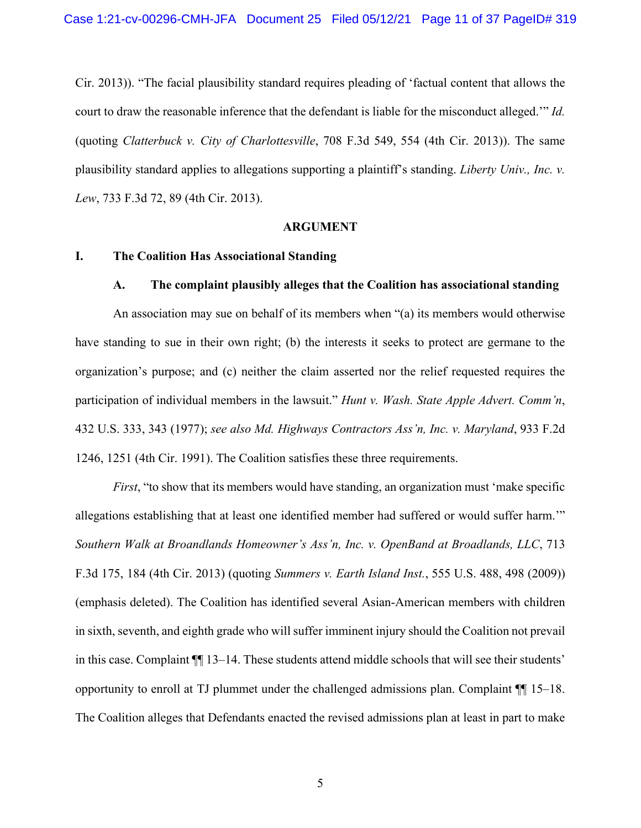<span id="page-10-1"></span>Cir. 2013)). "The facial plausibility standard requires pleading of 'factual content that allows the court to draw the reasonable inference that the defendant is liable for the misconduct alleged.'" *Id.* (quoting *Clatterbuck v. City of Charlottesville*, 708 F.3d 549, 554 (4th Cir. 2013)). The same plausibility standard applies to allegations supporting a plaintiff's standing. *Liberty Univ., Inc. v. Lew*, 733 F.3d 72, 89 (4th Cir. 2013).

#### <span id="page-10-3"></span><span id="page-10-2"></span><span id="page-10-0"></span>**ARGUMENT**

#### **I. The Coalition Has Associational Standing**

#### **A. The complaint plausibly alleges that the Coalition has associational standing**

An association may sue on behalf of its members when "(a) its members would otherwise have standing to sue in their own right; (b) the interests it seeks to protect are germane to the organization's purpose; and (c) neither the claim asserted nor the relief requested requires the participation of individual members in the lawsuit." *Hunt v. Wash. State Apple Advert. Comm'n*, 432 U.S. 333, 343 (1977); *see also Md. Highways Contractors Ass'n, Inc. v. Maryland*, 933 F.2d 1246, 1251 (4th Cir. 1991). The Coalition satisfies these three requirements.

<span id="page-10-6"></span><span id="page-10-5"></span><span id="page-10-4"></span>*First*, "to show that its members would have standing, an organization must 'make specific allegations establishing that at least one identified member had suffered or would suffer harm.'" *Southern Walk at Broandlands Homeowner's Ass'n, Inc. v. OpenBand at Broadlands, LLC*, 713 F.3d 175, 184 (4th Cir. 2013) (quoting *Summers v. Earth Island Inst.*, 555 U.S. 488, 498 (2009)) (emphasis deleted). The Coalition has identified several Asian-American members with children in sixth, seventh, and eighth grade who will suffer imminent injury should the Coalition not prevail in this case. Complaint ¶¶ 13–14. These students attend middle schools that will see their students' opportunity to enroll at TJ plummet under the challenged admissions plan. Complaint  $\P$  15–18. The Coalition alleges that Defendants enacted the revised admissions plan at least in part to make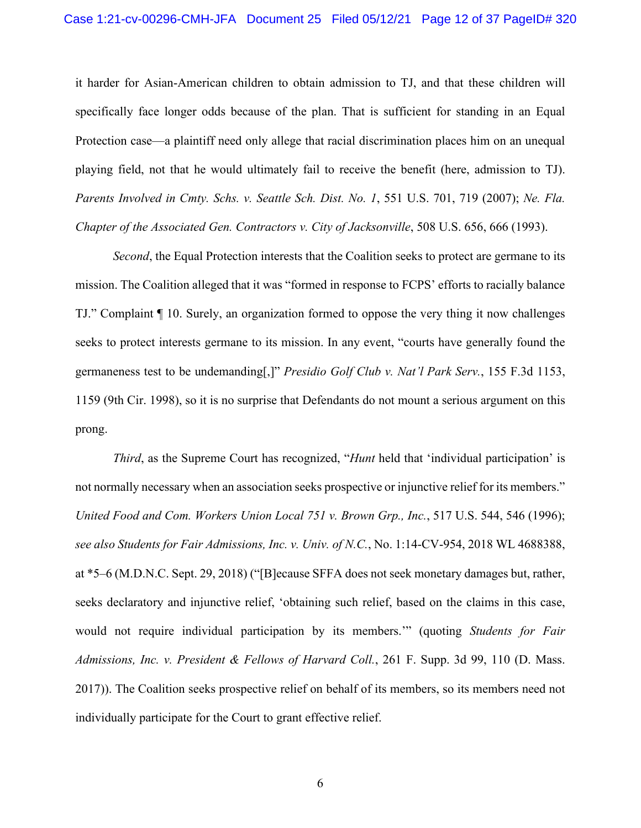it harder for Asian-American children to obtain admission to TJ, and that these children will specifically face longer odds because of the plan. That is sufficient for standing in an Equal Protection case—a plaintiff need only allege that racial discrimination places him on an unequal playing field, not that he would ultimately fail to receive the benefit (here, admission to TJ). *Parents Involved in Cmty. Schs. v. Seattle Sch. Dist. No. 1*, 551 U.S. 701, 719 (2007); *Ne. Fla. Chapter of the Associated Gen. Contractors v. City of Jacksonville*, 508 U.S. 656, 666 (1993).

<span id="page-11-1"></span><span id="page-11-0"></span>*Second*, the Equal Protection interests that the Coalition seeks to protect are germane to its mission. The Coalition alleged that it was "formed in response to FCPS' efforts to racially balance TJ." Complaint ¶ 10. Surely, an organization formed to oppose the very thing it now challenges seeks to protect interests germane to its mission. In any event, "courts have generally found the germaneness test to be undemanding[,]" *Presidio Golf Club v. Nat'l Park Serv.*, 155 F.3d 1153, 1159 (9th Cir. 1998), so it is no surprise that Defendants do not mount a serious argument on this prong.

<span id="page-11-5"></span><span id="page-11-4"></span><span id="page-11-3"></span><span id="page-11-2"></span>*Third*, as the Supreme Court has recognized, "*Hunt* held that 'individual participation' is not normally necessary when an association seeks prospective or injunctive relief for its members." *United Food and Com. Workers Union Local 751 v. Brown Grp., Inc.*, 517 U.S. 544, 546 (1996); *see also Students for Fair Admissions, Inc. v. Univ. of N.C.*, No. 1:14-CV-954, 2018 WL 4688388, at \*5–6 (M.D.N.C. Sept. 29, 2018) ("[B]ecause SFFA does not seek monetary damages but, rather, seeks declaratory and injunctive relief, 'obtaining such relief, based on the claims in this case, would not require individual participation by its members.'" (quoting *Students for Fair Admissions, Inc. v. President & Fellows of Harvard Coll.*, 261 F. Supp. 3d 99, 110 (D. Mass. 2017)). The Coalition seeks prospective relief on behalf of its members, so its members need not individually participate for the Court to grant effective relief.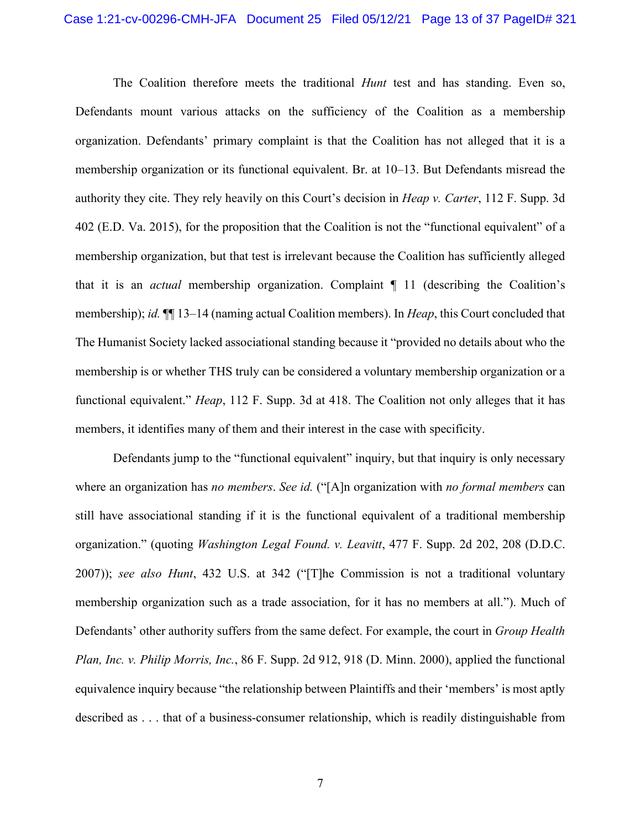<span id="page-12-2"></span><span id="page-12-1"></span>The Coalition therefore meets the traditional *Hunt* test and has standing. Even so, Defendants mount various attacks on the sufficiency of the Coalition as a membership organization. Defendants' primary complaint is that the Coalition has not alleged that it is a membership organization or its functional equivalent. Br. at 10–13. But Defendants misread the authority they cite. They rely heavily on this Court's decision in *Heap v. Carter*, 112 F. Supp. 3d 402 (E.D. Va. 2015), for the proposition that the Coalition is not the "functional equivalent" of a membership organization, but that test is irrelevant because the Coalition has sufficiently alleged that it is an *actual* membership organization. Complaint ¶ 11 (describing the Coalition's membership); *id.* ¶¶ 13–14 (naming actual Coalition members). In *Heap*, this Court concluded that The Humanist Society lacked associational standing because it "provided no details about who the membership is or whether THS truly can be considered a voluntary membership organization or a functional equivalent." *Heap*, 112 F. Supp. 3d at 418. The Coalition not only alleges that it has members, it identifies many of them and their interest in the case with specificity.

<span id="page-12-3"></span><span id="page-12-0"></span>Defendants jump to the "functional equivalent" inquiry, but that inquiry is only necessary where an organization has *no members*. *See id.* ("[A]n organization with *no formal members* can still have associational standing if it is the functional equivalent of a traditional membership organization." (quoting *Washington Legal Found. v. Leavitt*, 477 F. Supp. 2d 202, 208 (D.D.C. 2007)); *see also Hunt*, 432 U.S. at 342 ("[T]he Commission is not a traditional voluntary membership organization such as a trade association, for it has no members at all."). Much of Defendants' other authority suffers from the same defect. For example, the court in *Group Health Plan, Inc. v. Philip Morris, Inc.*, 86 F. Supp. 2d 912, 918 (D. Minn. 2000), applied the functional equivalence inquiry because "the relationship between Plaintiffs and their 'members' is most aptly described as . . . that of a business-consumer relationship, which is readily distinguishable from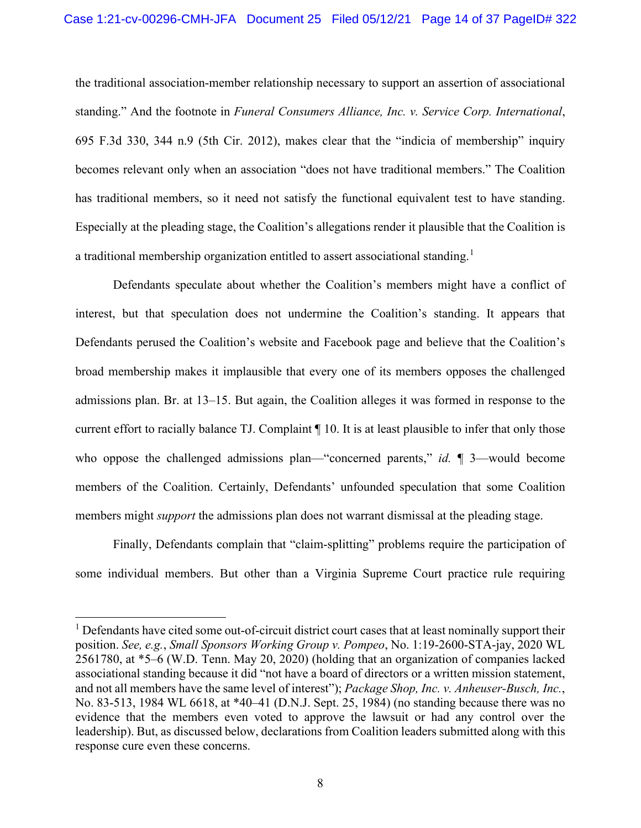<span id="page-13-0"></span>the traditional association-member relationship necessary to support an assertion of associational standing." And the footnote in *Funeral Consumers Alliance, Inc. v. Service Corp. International*, 695 F.3d 330, 344 n.9 (5th Cir. 2012), makes clear that the "indicia of membership" inquiry becomes relevant only when an association "does not have traditional members." The Coalition has traditional members, so it need not satisfy the functional equivalent test to have standing. Especially at the pleading stage, the Coalition's allegations render it plausible that the Coalition is a traditional membership organization entitled to assert associational standing.<sup>[1](#page-13-3)</sup>

Defendants speculate about whether the Coalition's members might have a conflict of interest, but that speculation does not undermine the Coalition's standing. It appears that Defendants perused the Coalition's website and Facebook page and believe that the Coalition's broad membership makes it implausible that every one of its members opposes the challenged admissions plan. Br. at 13–15. But again, the Coalition alleges it was formed in response to the current effort to racially balance TJ. Complaint ¶ 10. It is at least plausible to infer that only those who oppose the challenged admissions plan—"concerned parents," *id.*  $\parallel$  3—would become members of the Coalition. Certainly, Defendants' unfounded speculation that some Coalition members might *support* the admissions plan does not warrant dismissal at the pleading stage.

Finally, Defendants complain that "claim-splitting" problems require the participation of some individual members. But other than a Virginia Supreme Court practice rule requiring

<span id="page-13-3"></span><span id="page-13-2"></span><span id="page-13-1"></span><sup>&</sup>lt;sup>1</sup> Defendants have cited some out-of-circuit district court cases that at least nominally support their position. *See, e.g.*, *Small Sponsors Working Group v. Pompeo*, No. 1:19-2600-STA-jay, 2020 WL 2561780, at \*5–6 (W.D. Tenn. May 20, 2020) (holding that an organization of companies lacked associational standing because it did "not have a board of directors or a written mission statement, and not all members have the same level of interest"); *Package Shop, Inc. v. Anheuser-Busch, Inc.*, No. 83-513, 1984 WL 6618, at \*40–41 (D.N.J. Sept. 25, 1984) (no standing because there was no evidence that the members even voted to approve the lawsuit or had any control over the leadership). But, as discussed below, declarations from Coalition leaders submitted along with this response cure even these concerns.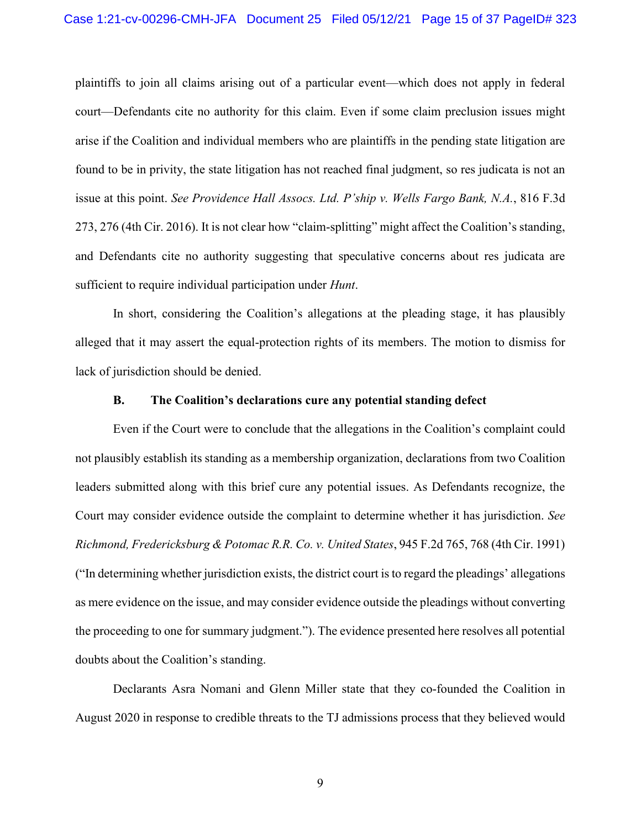<span id="page-14-0"></span>plaintiffs to join all claims arising out of a particular event—which does not apply in federal court—Defendants cite no authority for this claim. Even if some claim preclusion issues might arise if the Coalition and individual members who are plaintiffs in the pending state litigation are found to be in privity, the state litigation has not reached final judgment, so res judicata is not an issue at this point. *See Providence Hall Assocs. Ltd. P'ship v. Wells Fargo Bank, N.A.*, 816 F.3d 273, 276 (4th Cir. 2016). It is not clear how "claim-splitting" might affect the Coalition's standing, and Defendants cite no authority suggesting that speculative concerns about res judicata are sufficient to require individual participation under *Hunt*.

In short, considering the Coalition's allegations at the pleading stage, it has plausibly alleged that it may assert the equal-protection rights of its members. The motion to dismiss for lack of jurisdiction should be denied.

#### **B. The Coalition's declarations cure any potential standing defect**

<span id="page-14-1"></span>Even if the Court were to conclude that the allegations in the Coalition's complaint could not plausibly establish its standing as a membership organization, declarations from two Coalition leaders submitted along with this brief cure any potential issues. As Defendants recognize, the Court may consider evidence outside the complaint to determine whether it has jurisdiction. *See Richmond, Fredericksburg & Potomac R.R. Co. v. United States*, 945 F.2d 765, 768 (4th Cir. 1991) ("In determining whether jurisdiction exists, the district court is to regard the pleadings' allegations as mere evidence on the issue, and may consider evidence outside the pleadings without converting the proceeding to one for summary judgment."). The evidence presented here resolves all potential doubts about the Coalition's standing.

Declarants Asra Nomani and Glenn Miller state that they co-founded the Coalition in August 2020 in response to credible threats to the TJ admissions process that they believed would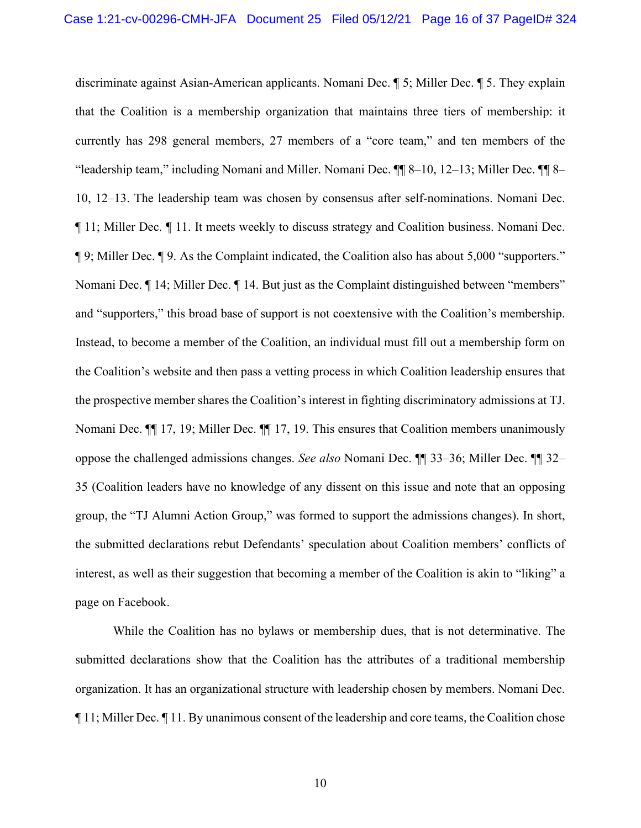discriminate against Asian-American applicants. Nomani Dec. ¶ 5; Miller Dec. ¶ 5. They explain that the Coalition is a membership organization that maintains three tiers of membership: it currently has 298 general members, 27 members of a "core team," and ten members of the "leadership team," including Nomani and Miller. Nomani Dec. ¶¶ 8–10, 12–13; Miller Dec. ¶¶ 8– 10, 12–13. The leadership team was chosen by consensus after self-nominations. Nomani Dec. ¶ 11; Miller Dec. ¶ 11. It meets weekly to discuss strategy and Coalition business. Nomani Dec. ¶ 9; Miller Dec. ¶ 9. As the Complaint indicated, the Coalition also has about 5,000 "supporters." Nomani Dec. ¶ 14; Miller Dec. ¶ 14. But just as the Complaint distinguished between "members" and "supporters," this broad base of support is not coextensive with the Coalition's membership. Instead, to become a member of the Coalition, an individual must fill out a membership form on the Coalition's website and then pass a vetting process in which Coalition leadership ensures that the prospective member shares the Coalition's interest in fighting discriminatory admissions at TJ. Nomani Dec. ¶¶ 17, 19; Miller Dec. ¶¶ 17, 19. This ensures that Coalition members unanimously oppose the challenged admissions changes. *See also* Nomani Dec. ¶¶ 33–36; Miller Dec. ¶¶ 32– 35 (Coalition leaders have no knowledge of any dissent on this issue and note that an opposing group, the "TJ Alumni Action Group," was formed to support the admissions changes). In short, the submitted declarations rebut Defendants' speculation about Coalition members' conflicts of interest, as well as their suggestion that becoming a member of the Coalition is akin to "liking" a page on Facebook.

While the Coalition has no bylaws or membership dues, that is not determinative. The submitted declarations show that the Coalition has the attributes of a traditional membership organization. It has an organizational structure with leadership chosen by members. Nomani Dec. ¶ 11; Miller Dec. ¶ 11. By unanimous consent of the leadership and core teams, the Coalition chose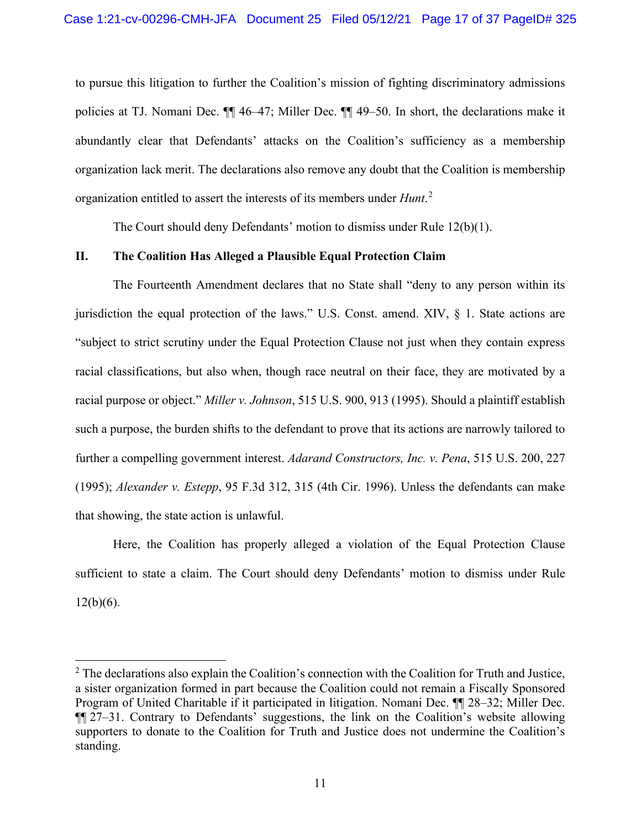to pursue this litigation to further the Coalition's mission of fighting discriminatory admissions policies at TJ. Nomani Dec. ¶¶ 46–47; Miller Dec. ¶¶ 49–50. In short, the declarations make it abundantly clear that Defendants' attacks on the Coalition's sufficiency as a membership organization lack merit. The declarations also remove any doubt that the Coalition is membership organization entitled to assert the interests of its members under *Hunt*. [2](#page-16-6)

<span id="page-16-4"></span><span id="page-16-3"></span>The Court should deny Defendants' motion to dismiss under Rule 12(b)(1).

#### **II. The Coalition Has Alleged a Plausible Equal Protection Claim**

<span id="page-16-2"></span>The Fourteenth Amendment declares that no State shall "deny to any person within its jurisdiction the equal protection of the laws." U.S. Const. amend. XIV,  $\S$  1. State actions are "subject to strict scrutiny under the Equal Protection Clause not just when they contain express racial classifications, but also when, though race neutral on their face, they are motivated by a racial purpose or object." *Miller v. Johnson*, 515 U.S. 900, 913 (1995). Should a plaintiff establish such a purpose, the burden shifts to the defendant to prove that its actions are narrowly tailored to further a compelling government interest. *Adarand Constructors, Inc. v. Pena*, 515 U.S. 200, 227 (1995); *Alexander v. Estepp*, 95 F.3d 312, 315 (4th Cir. 1996). Unless the defendants can make that showing, the state action is unlawful.

<span id="page-16-5"></span><span id="page-16-1"></span><span id="page-16-0"></span>Here, the Coalition has properly alleged a violation of the Equal Protection Clause sufficient to state a claim. The Court should deny Defendants' motion to dismiss under Rule  $12(b)(6)$ .

<span id="page-16-6"></span> $2$  The declarations also explain the Coalition's connection with the Coalition for Truth and Justice, a sister organization formed in part because the Coalition could not remain a Fiscally Sponsored Program of United Charitable if it participated in litigation. Nomani Dec. ¶¶ 28–32; Miller Dec. ¶¶ 27–31. Contrary to Defendants' suggestions, the link on the Coalition's website allowing supporters to donate to the Coalition for Truth and Justice does not undermine the Coalition's standing.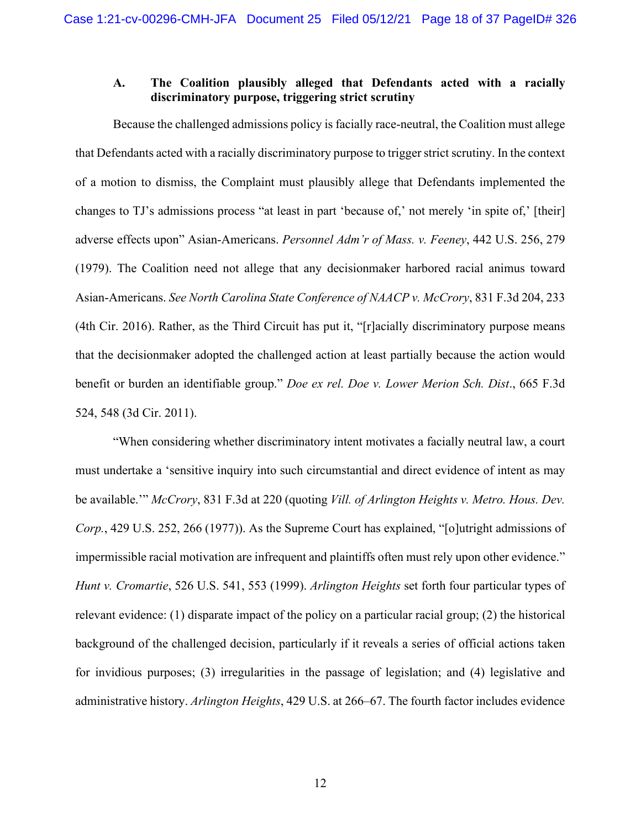### <span id="page-17-3"></span>**A. The Coalition plausibly alleged that Defendants acted with a racially discriminatory purpose, triggering strict scrutiny**

Because the challenged admissions policy is facially race-neutral, the Coalition must allege that Defendants acted with a racially discriminatory purpose to trigger strict scrutiny. In the context of a motion to dismiss, the Complaint must plausibly allege that Defendants implemented the changes to TJ's admissions process "at least in part 'because of,' not merely 'in spite of,' [their] adverse effects upon" Asian-Americans. *Personnel Adm'r of Mass. v. Feeney*, 442 U.S. 256, 279 (1979). The Coalition need not allege that any decisionmaker harbored racial animus toward Asian-Americans. *See North Carolina State Conference of NAACP v. McCrory*, 831 F.3d 204, 233 (4th Cir. 2016). Rather, as the Third Circuit has put it, "[r]acially discriminatory purpose means that the decisionmaker adopted the challenged action at least partially because the action would benefit or burden an identifiable group." *Doe ex rel. Doe v. Lower Merion Sch. Dist*., 665 F.3d 524, 548 (3d Cir. 2011).

<span id="page-17-4"></span><span id="page-17-2"></span><span id="page-17-1"></span><span id="page-17-0"></span>"When considering whether discriminatory intent motivates a facially neutral law, a court must undertake a 'sensitive inquiry into such circumstantial and direct evidence of intent as may be available.'" *McCrory*, 831 F.3d at 220 (quoting *Vill. of Arlington Heights v. Metro. Hous. Dev. Corp.*, 429 U.S. 252, 266 (1977)). As the Supreme Court has explained, "[o]utright admissions of impermissible racial motivation are infrequent and plaintiffs often must rely upon other evidence." *Hunt v. Cromartie*, 526 U.S. 541, 553 (1999). *Arlington Heights* set forth four particular types of relevant evidence: (1) disparate impact of the policy on a particular racial group; (2) the historical background of the challenged decision, particularly if it reveals a series of official actions taken for invidious purposes; (3) irregularities in the passage of legislation; and (4) legislative and administrative history. *Arlington Heights*, 429 U.S. at 266–67. The fourth factor includes evidence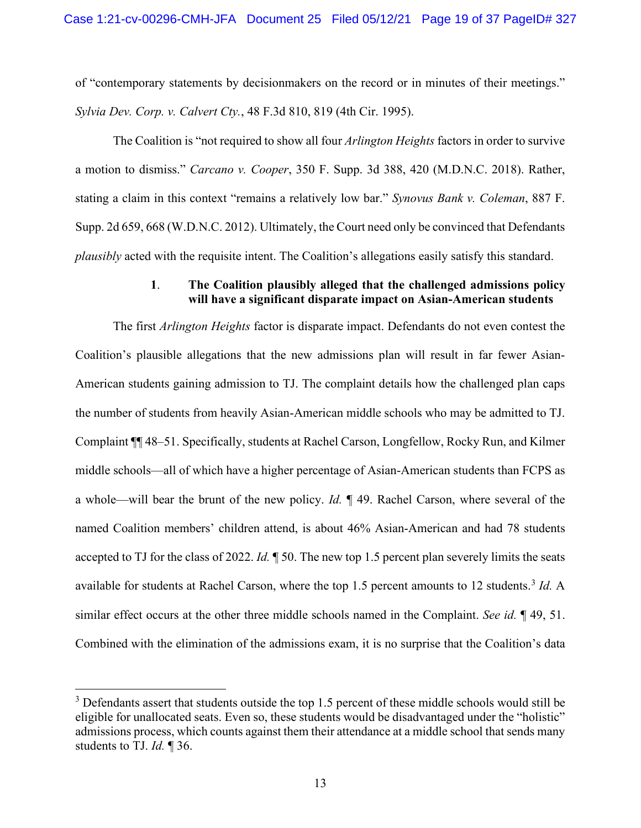<span id="page-18-1"></span>of "contemporary statements by decisionmakers on the record or in minutes of their meetings." *Sylvia Dev. Corp. v. Calvert Cty.*, 48 F.3d 810, 819 (4th Cir. 1995).

<span id="page-18-0"></span>The Coalition is "not required to show all four *Arlington Heights* factors in order to survive a motion to dismiss." *Carcano v. Cooper*, 350 F. Supp. 3d 388, 420 (M.D.N.C. 2018). Rather, stating a claim in this context "remains a relatively low bar." *Synovus Bank v. Coleman*, 887 F. Supp. 2d 659, 668 (W.D.N.C. 2012). Ultimately, the Court need only be convinced that Defendants *plausibly* acted with the requisite intent. The Coalition's allegations easily satisfy this standard.

#### <span id="page-18-2"></span>**1**. **The Coalition plausibly alleged that the challenged admissions policy will have a significant disparate impact on Asian-American students**

The first *Arlington Heights* factor is disparate impact. Defendants do not even contest the Coalition's plausible allegations that the new admissions plan will result in far fewer Asian-American students gaining admission to TJ. The complaint details how the challenged plan caps the number of students from heavily Asian-American middle schools who may be admitted to TJ. Complaint ¶¶ 48–51. Specifically, students at Rachel Carson, Longfellow, Rocky Run, and Kilmer middle schools—all of which have a higher percentage of Asian-American students than FCPS as a whole—will bear the brunt of the new policy. *Id.* ¶ 49. Rachel Carson, where several of the named Coalition members' children attend, is about 46% Asian-American and had 78 students accepted to TJ for the class of 2022. *Id.* ¶ 50. The new top 1.5 percent plan severely limits the seats available for students at Rachel Carson, where the top 1.5 percent amounts to 12 students. [3](#page-18-3) *Id.* A similar effect occurs at the other three middle schools named in the Complaint. *See id.* ¶ 49, 51. Combined with the elimination of the admissions exam, it is no surprise that the Coalition's data

<span id="page-18-3"></span> $3$  Defendants assert that students outside the top 1.5 percent of these middle schools would still be eligible for unallocated seats. Even so, these students would be disadvantaged under the "holistic" admissions process, which counts against them their attendance at a middle school that sends many students to TJ. *Id.* ¶ 36.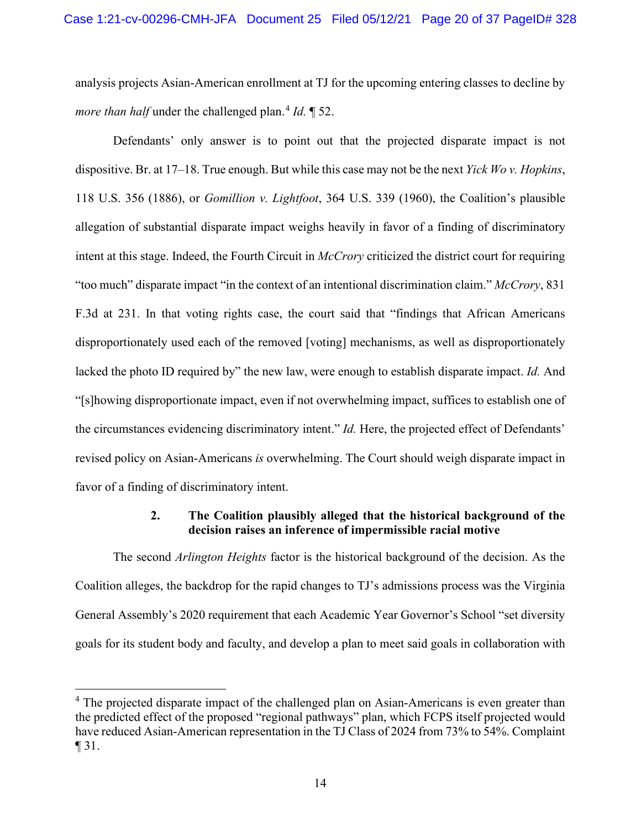analysis projects Asian-American enrollment at TJ for the upcoming entering classes to decline by *more than half* under the challenged plan.<sup>[4](#page-19-3)</sup> *Id.* 152.

<span id="page-19-2"></span><span id="page-19-1"></span><span id="page-19-0"></span>Defendants' only answer is to point out that the projected disparate impact is not dispositive. Br. at 17–18. True enough. But while this case may not be the next *Yick Wo v. Hopkins*, 118 U.S. 356 (1886), or *Gomillion v. Lightfoot*, 364 U.S. 339 (1960), the Coalition's plausible allegation of substantial disparate impact weighs heavily in favor of a finding of discriminatory intent at this stage. Indeed, the Fourth Circuit in *McCrory* criticized the district court for requiring "too much" disparate impact "in the context of an intentional discrimination claim." *McCrory*, 831 F.3d at 231. In that voting rights case, the court said that "findings that African Americans disproportionately used each of the removed [voting] mechanisms, as well as disproportionately lacked the photo ID required by" the new law, were enough to establish disparate impact. *Id.* And "[s]howing disproportionate impact, even if not overwhelming impact, suffices to establish one of the circumstances evidencing discriminatory intent." *Id.* Here, the projected effect of Defendants' revised policy on Asian-Americans *is* overwhelming. The Court should weigh disparate impact in favor of a finding of discriminatory intent.

#### **2. The Coalition plausibly alleged that the historical background of the decision raises an inference of impermissible racial motive**

The second *Arlington Heights* factor is the historical background of the decision. As the Coalition alleges, the backdrop for the rapid changes to TJ's admissions process was the Virginia General Assembly's 2020 requirement that each Academic Year Governor's School "set diversity goals for its student body and faculty, and develop a plan to meet said goals in collaboration with

<span id="page-19-3"></span><sup>&</sup>lt;sup>4</sup> The projected disparate impact of the challenged plan on Asian-Americans is even greater than the predicted effect of the proposed "regional pathways" plan, which FCPS itself projected would have reduced Asian-American representation in the TJ Class of 2024 from 73% to 54%. Complaint ¶ 31.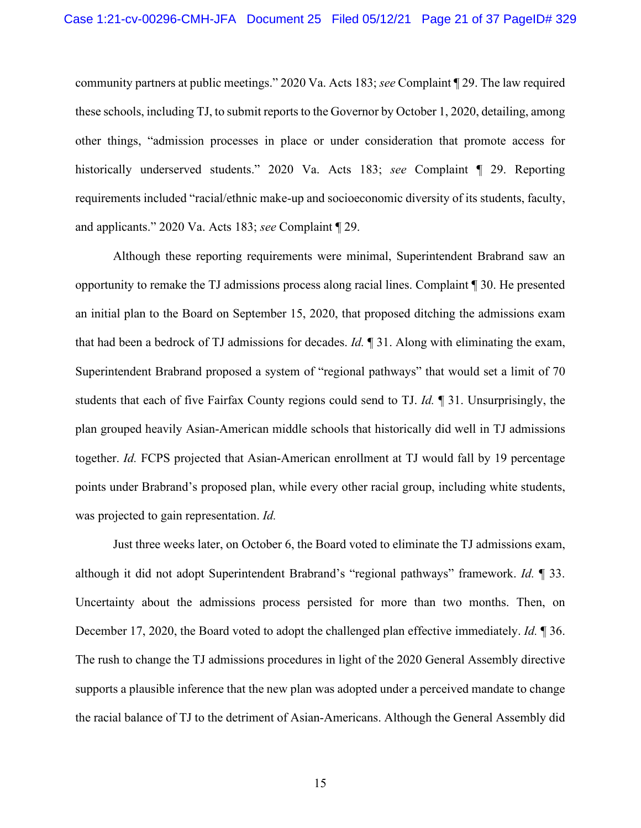<span id="page-20-0"></span>community partners at public meetings." 2020 Va. Acts 183; *see* Complaint ¶ 29. The law required these schools, including TJ, to submit reports to the Governor by October 1, 2020, detailing, among other things, "admission processes in place or under consideration that promote access for historically underserved students." 2020 Va. Acts 183; *see* Complaint ¶ 29. Reporting requirements included "racial/ethnic make-up and socioeconomic diversity of its students, faculty, and applicants." 2020 Va. Acts 183; *see* Complaint ¶ 29.

Although these reporting requirements were minimal, Superintendent Brabrand saw an opportunity to remake the TJ admissions process along racial lines. Complaint ¶ 30. He presented an initial plan to the Board on September 15, 2020, that proposed ditching the admissions exam that had been a bedrock of TJ admissions for decades. *Id.* ¶ 31. Along with eliminating the exam, Superintendent Brabrand proposed a system of "regional pathways" that would set a limit of 70 students that each of five Fairfax County regions could send to TJ. *Id.* ¶ 31. Unsurprisingly, the plan grouped heavily Asian-American middle schools that historically did well in TJ admissions together. *Id.* FCPS projected that Asian-American enrollment at TJ would fall by 19 percentage points under Brabrand's proposed plan, while every other racial group, including white students, was projected to gain representation. *Id.*

Just three weeks later, on October 6, the Board voted to eliminate the TJ admissions exam, although it did not adopt Superintendent Brabrand's "regional pathways" framework. *Id.* ¶ 33. Uncertainty about the admissions process persisted for more than two months. Then, on December 17, 2020, the Board voted to adopt the challenged plan effective immediately. *Id.* ¶ 36. The rush to change the TJ admissions procedures in light of the 2020 General Assembly directive supports a plausible inference that the new plan was adopted under a perceived mandate to change the racial balance of TJ to the detriment of Asian-Americans. Although the General Assembly did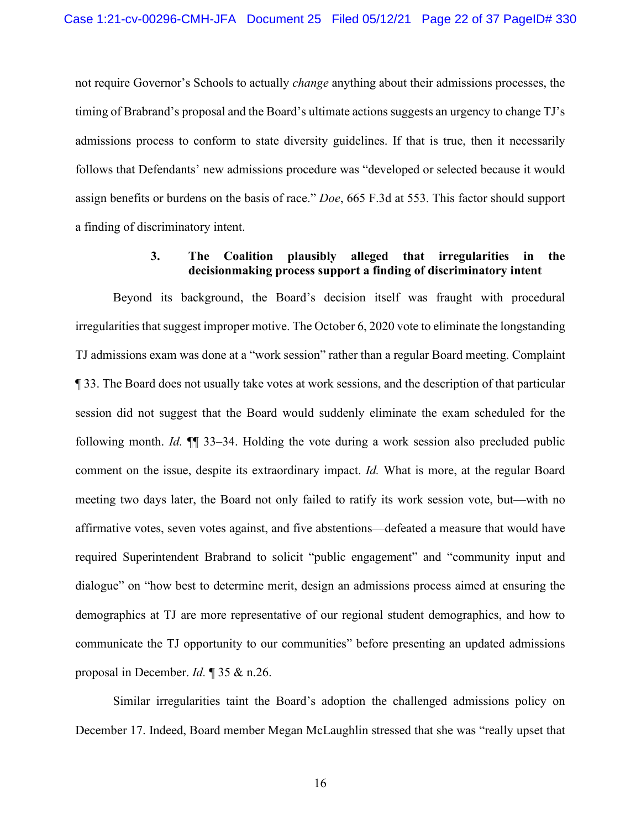not require Governor's Schools to actually *change* anything about their admissions processes, the timing of Brabrand's proposal and the Board's ultimate actions suggests an urgency to change TJ's admissions process to conform to state diversity guidelines. If that is true, then it necessarily follows that Defendants' new admissions procedure was "developed or selected because it would assign benefits or burdens on the basis of race." *Doe*, 665 F.3d at 553. This factor should support a finding of discriminatory intent.

## <span id="page-21-0"></span>**3. The Coalition plausibly alleged that irregularities in the decisionmaking process support a finding of discriminatory intent**

Beyond its background, the Board's decision itself was fraught with procedural irregularities that suggest improper motive. The October 6, 2020 vote to eliminate the longstanding TJ admissions exam was done at a "work session" rather than a regular Board meeting. Complaint ¶ 33. The Board does not usually take votes at work sessions, and the description of that particular session did not suggest that the Board would suddenly eliminate the exam scheduled for the following month. *Id.* ¶¶ 33–34. Holding the vote during a work session also precluded public comment on the issue, despite its extraordinary impact. *Id.* What is more, at the regular Board meeting two days later, the Board not only failed to ratify its work session vote, but—with no affirmative votes, seven votes against, and five abstentions—defeated a measure that would have required Superintendent Brabrand to solicit "public engagement" and "community input and dialogue" on "how best to determine merit, design an admissions process aimed at ensuring the demographics at TJ are more representative of our regional student demographics, and how to communicate the TJ opportunity to our communities" before presenting an updated admissions proposal in December. *Id.* ¶ 35 & n.26.

Similar irregularities taint the Board's adoption the challenged admissions policy on December 17. Indeed, Board member Megan McLaughlin stressed that she was "really upset that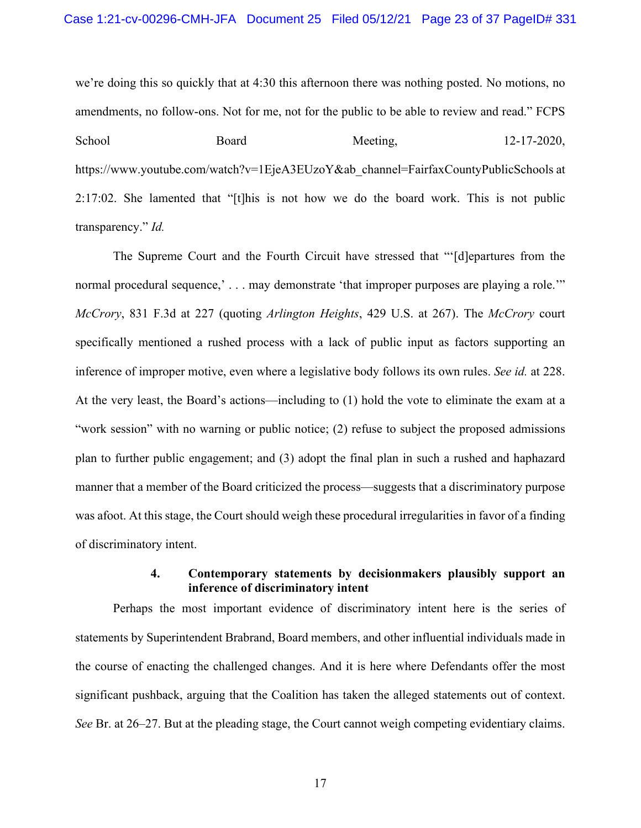<span id="page-22-2"></span>we're doing this so quickly that at 4:30 this afternoon there was nothing posted. No motions, no amendments, no follow-ons. Not for me, not for the public to be able to review and read." FCPS School Board Meeting, 12-17-2020, https://www.youtube.com/watch?v=1EjeA3EUzoY&ab\_channel=FairfaxCountyPublicSchools at 2:17:02. She lamented that "[t]his is not how we do the board work. This is not public transparency." *Id.*

<span id="page-22-1"></span><span id="page-22-0"></span>The Supreme Court and the Fourth Circuit have stressed that "'[d]epartures from the normal procedural sequence,  $\ldots$  may demonstrate 'that improper purposes are playing a role." *McCrory*, 831 F.3d at 227 (quoting *Arlington Heights*, 429 U.S. at 267). The *McCrory* court specifically mentioned a rushed process with a lack of public input as factors supporting an inference of improper motive, even where a legislative body follows its own rules. *See id.* at 228. At the very least, the Board's actions—including to (1) hold the vote to eliminate the exam at a "work session" with no warning or public notice; (2) refuse to subject the proposed admissions plan to further public engagement; and (3) adopt the final plan in such a rushed and haphazard manner that a member of the Board criticized the process—suggests that a discriminatory purpose was afoot. At this stage, the Court should weigh these procedural irregularities in favor of a finding of discriminatory intent.

### **4. Contemporary statements by decisionmakers plausibly support an inference of discriminatory intent**

Perhaps the most important evidence of discriminatory intent here is the series of statements by Superintendent Brabrand, Board members, and other influential individuals made in the course of enacting the challenged changes. And it is here where Defendants offer the most significant pushback, arguing that the Coalition has taken the alleged statements out of context. *See* Br. at 26–27. But at the pleading stage, the Court cannot weigh competing evidentiary claims.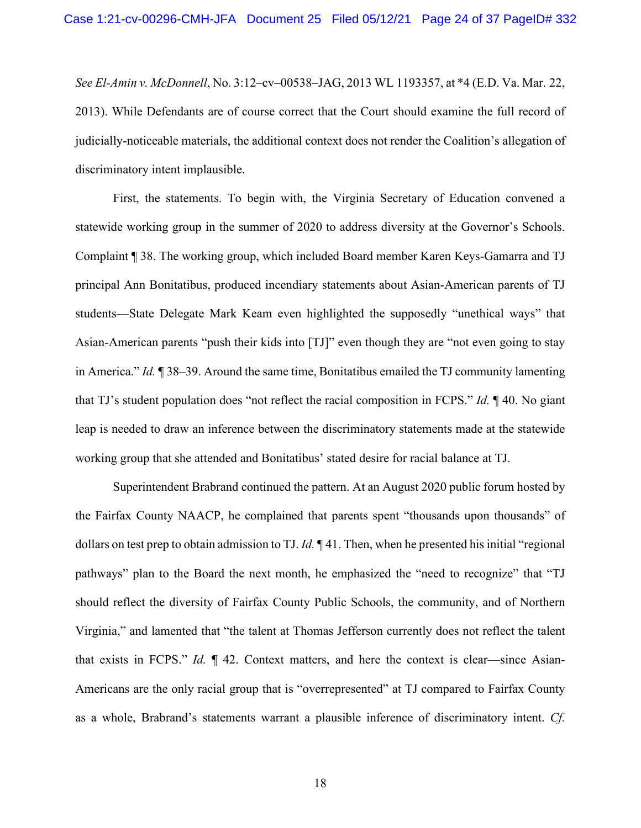<span id="page-23-0"></span>*See El-Amin v. McDonnell*, No. 3:12–cv–00538–JAG, 2013 WL 1193357, at \*4 (E.D. Va. Mar. 22, 2013). While Defendants are of course correct that the Court should examine the full record of judicially-noticeable materials, the additional context does not render the Coalition's allegation of discriminatory intent implausible.

First, the statements. To begin with, the Virginia Secretary of Education convened a statewide working group in the summer of 2020 to address diversity at the Governor's Schools. Complaint ¶ 38. The working group, which included Board member Karen Keys-Gamarra and TJ principal Ann Bonitatibus, produced incendiary statements about Asian-American parents of TJ students—State Delegate Mark Keam even highlighted the supposedly "unethical ways" that Asian-American parents "push their kids into [TJ]" even though they are "not even going to stay in America." *Id.* ¶ 38–39. Around the same time, Bonitatibus emailed the TJ community lamenting that TJ's student population does "not reflect the racial composition in FCPS." *Id.* ¶ 40. No giant leap is needed to draw an inference between the discriminatory statements made at the statewide working group that she attended and Bonitatibus' stated desire for racial balance at TJ.

Superintendent Brabrand continued the pattern. At an August 2020 public forum hosted by the Fairfax County NAACP, he complained that parents spent "thousands upon thousands" of dollars on test prep to obtain admission to TJ. *Id.* ¶ 41. Then, when he presented his initial "regional pathways" plan to the Board the next month, he emphasized the "need to recognize" that "TJ should reflect the diversity of Fairfax County Public Schools, the community, and of Northern Virginia," and lamented that "the talent at Thomas Jefferson currently does not reflect the talent that exists in FCPS." *Id.* ¶ 42. Context matters, and here the context is clear—since Asian-Americans are the only racial group that is "overrepresented" at TJ compared to Fairfax County as a whole, Brabrand's statements warrant a plausible inference of discriminatory intent. *Cf.*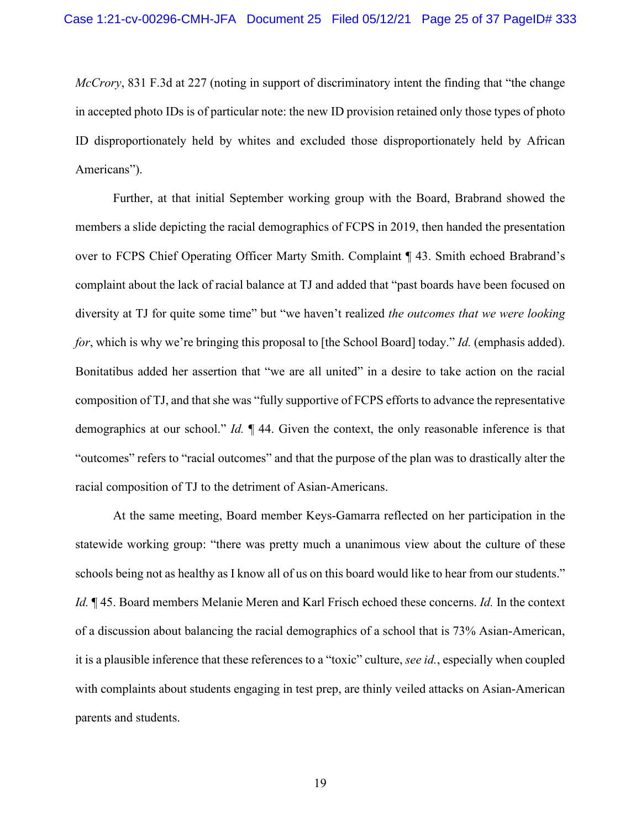<span id="page-24-0"></span>*McCrory*, 831 F.3d at 227 (noting in support of discriminatory intent the finding that "the change in accepted photo IDs is of particular note: the new ID provision retained only those types of photo ID disproportionately held by whites and excluded those disproportionately held by African Americans").

Further, at that initial September working group with the Board, Brabrand showed the members a slide depicting the racial demographics of FCPS in 2019, then handed the presentation over to FCPS Chief Operating Officer Marty Smith. Complaint ¶ 43. Smith echoed Brabrand's complaint about the lack of racial balance at TJ and added that "past boards have been focused on diversity at TJ for quite some time" but "we haven't realized *the outcomes that we were looking for*, which is why we're bringing this proposal to [the School Board] today." *Id.* (emphasis added). Bonitatibus added her assertion that "we are all united" in a desire to take action on the racial composition of TJ, and that she was "fully supportive of FCPS efforts to advance the representative demographics at our school." *Id.* ¶ 44. Given the context, the only reasonable inference is that "outcomes" refers to "racial outcomes" and that the purpose of the plan was to drastically alter the racial composition of TJ to the detriment of Asian-Americans.

At the same meeting, Board member Keys-Gamarra reflected on her participation in the statewide working group: "there was pretty much a unanimous view about the culture of these schools being not as healthy as I know all of us on this board would like to hear from our students." *Id.* ¶ 45. Board members Melanie Meren and Karl Frisch echoed these concerns. *Id.* In the context of a discussion about balancing the racial demographics of a school that is 73% Asian-American, it is a plausible inference that these references to a "toxic" culture, *see id.*, especially when coupled with complaints about students engaging in test prep, are thinly veiled attacks on Asian-American parents and students.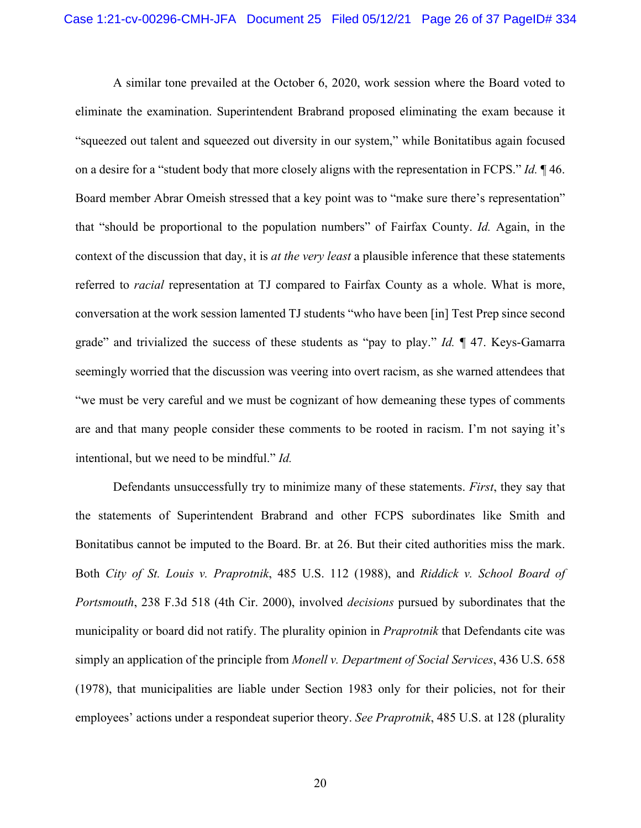A similar tone prevailed at the October 6, 2020, work session where the Board voted to eliminate the examination. Superintendent Brabrand proposed eliminating the exam because it "squeezed out talent and squeezed out diversity in our system," while Bonitatibus again focused on a desire for a "student body that more closely aligns with the representation in FCPS." *Id.* ¶ 46. Board member Abrar Omeish stressed that a key point was to "make sure there's representation" that "should be proportional to the population numbers" of Fairfax County. *Id.* Again, in the context of the discussion that day, it is *at the very least* a plausible inference that these statements referred to *racial* representation at TJ compared to Fairfax County as a whole. What is more, conversation at the work session lamented TJ students "who have been [in] Test Prep since second grade" and trivialized the success of these students as "pay to play." *Id.* ¶ 47. Keys-Gamarra seemingly worried that the discussion was veering into overt racism, as she warned attendees that "we must be very careful and we must be cognizant of how demeaning these types of comments are and that many people consider these comments to be rooted in racism. I'm not saying it's intentional, but we need to be mindful." *Id.*

<span id="page-25-2"></span><span id="page-25-1"></span><span id="page-25-0"></span>Defendants unsuccessfully try to minimize many of these statements. *First*, they say that the statements of Superintendent Brabrand and other FCPS subordinates like Smith and Bonitatibus cannot be imputed to the Board. Br. at 26. But their cited authorities miss the mark. Both *City of St. Louis v. Praprotnik*, 485 U.S. 112 (1988), and *Riddick v. School Board of Portsmouth*, 238 F.3d 518 (4th Cir. 2000), involved *decisions* pursued by subordinates that the municipality or board did not ratify. The plurality opinion in *Praprotnik* that Defendants cite was simply an application of the principle from *Monell v. Department of Social Services*, 436 U.S. 658 (1978), that municipalities are liable under Section 1983 only for their policies, not for their employees' actions under a respondeat superior theory. *See Praprotnik*, 485 U.S. at 128 (plurality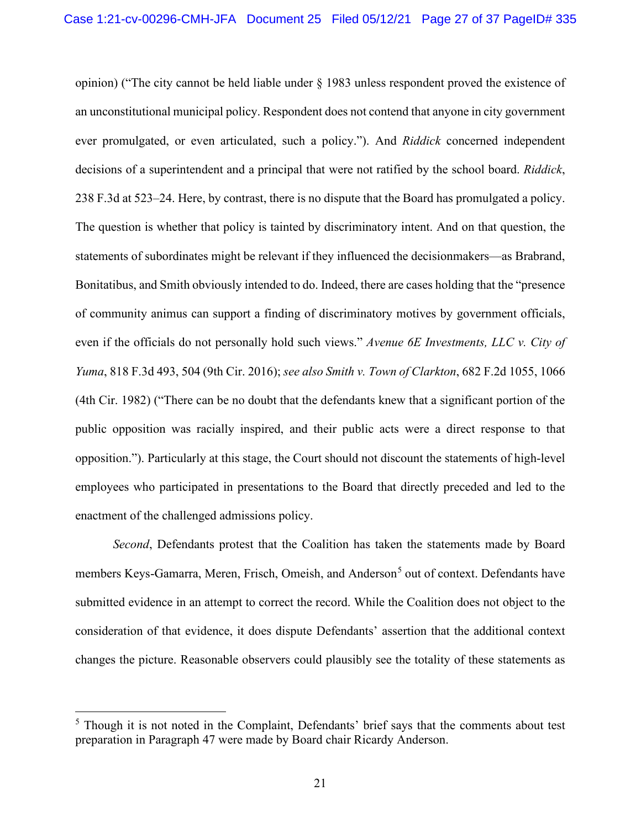<span id="page-26-1"></span>opinion) ("The city cannot be held liable under § 1983 unless respondent proved the existence of an unconstitutional municipal policy. Respondent does not contend that anyone in city government ever promulgated, or even articulated, such a policy."). And *Riddick* concerned independent decisions of a superintendent and a principal that were not ratified by the school board. *Riddick*, 238 F.3d at 523–24. Here, by contrast, there is no dispute that the Board has promulgated a policy. The question is whether that policy is tainted by discriminatory intent. And on that question, the statements of subordinates might be relevant if they influenced the decisionmakers—as Brabrand, Bonitatibus, and Smith obviously intended to do. Indeed, there are cases holding that the "presence of community animus can support a finding of discriminatory motives by government officials, even if the officials do not personally hold such views." *Avenue 6E Investments, LLC v. City of Yuma*, 818 F.3d 493, 504 (9th Cir. 2016); *see also Smith v. Town of Clarkton*, 682 F.2d 1055, 1066 (4th Cir. 1982) ("There can be no doubt that the defendants knew that a significant portion of the public opposition was racially inspired, and their public acts were a direct response to that opposition."). Particularly at this stage, the Court should not discount the statements of high-level employees who participated in presentations to the Board that directly preceded and led to the enactment of the challenged admissions policy.

<span id="page-26-2"></span><span id="page-26-0"></span>*Second*, Defendants protest that the Coalition has taken the statements made by Board members Keys-Gamarra, Meren, Frisch, Omeish, and Anderson<sup>[5](#page-26-3)</sup> out of context. Defendants have submitted evidence in an attempt to correct the record. While the Coalition does not object to the consideration of that evidence, it does dispute Defendants' assertion that the additional context changes the picture. Reasonable observers could plausibly see the totality of these statements as

<span id="page-26-3"></span> $<sup>5</sup>$  Though it is not noted in the Complaint, Defendants' brief says that the comments about test</sup> preparation in Paragraph 47 were made by Board chair Ricardy Anderson.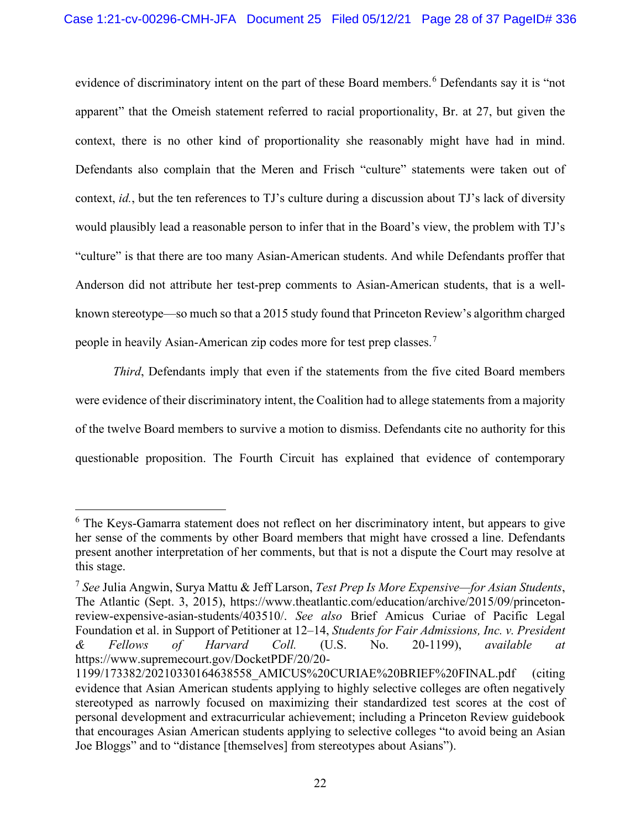evidence of discriminatory intent on the part of these Board members.<sup>[6](#page-27-2)</sup> Defendants say it is "not apparent" that the Omeish statement referred to racial proportionality, Br. at 27, but given the context, there is no other kind of proportionality she reasonably might have had in mind. Defendants also complain that the Meren and Frisch "culture" statements were taken out of context, *id.*, but the ten references to TJ's culture during a discussion about TJ's lack of diversity would plausibly lead a reasonable person to infer that in the Board's view, the problem with TJ's "culture" is that there are too many Asian-American students. And while Defendants proffer that Anderson did not attribute her test-prep comments to Asian-American students, that is a wellknown stereotype—so much so that a 2015 study found that Princeton Review's algorithm charged people in heavily Asian-American zip codes more for test prep classes.[7](#page-27-3)

*Third*, Defendants imply that even if the statements from the five cited Board members were evidence of their discriminatory intent, the Coalition had to allege statements from a majority of the twelve Board members to survive a motion to dismiss. Defendants cite no authority for this questionable proposition. The Fourth Circuit has explained that evidence of contemporary

<span id="page-27-2"></span><sup>&</sup>lt;sup>6</sup> The Keys-Gamarra statement does not reflect on her discriminatory intent, but appears to give her sense of the comments by other Board members that might have crossed a line. Defendants present another interpretation of her comments, but that is not a dispute the Court may resolve at this stage.

<span id="page-27-3"></span><span id="page-27-1"></span><span id="page-27-0"></span><sup>7</sup> *See* Julia Angwin, Surya Mattu & Jeff Larson, *Test Prep Is More Expensive—for Asian Students*, The Atlantic (Sept. 3, 2015), https://www.theatlantic.com/education/archive/2015/09/princetonreview-expensive-asian-students/403510/. *See also* Brief Amicus Curiae of Pacific Legal Foundation et al. in Support of Petitioner at 12–14, *Students for Fair Admissions, Inc. v. President & Fellows of Harvard Coll.* (U.S. No. 20-1199), *available at* https://www.supremecourt.gov/DocketPDF/20/20-

<sup>1199/173382/20210330164638558</sup>\_AMICUS%20CURIAE%20BRIEF%20FINAL.pdf (citing evidence that Asian American students applying to highly selective colleges are often negatively stereotyped as narrowly focused on maximizing their standardized test scores at the cost of personal development and extracurricular achievement; including a Princeton Review guidebook that encourages Asian American students applying to selective colleges "to avoid being an Asian Joe Bloggs" and to "distance [themselves] from stereotypes about Asians").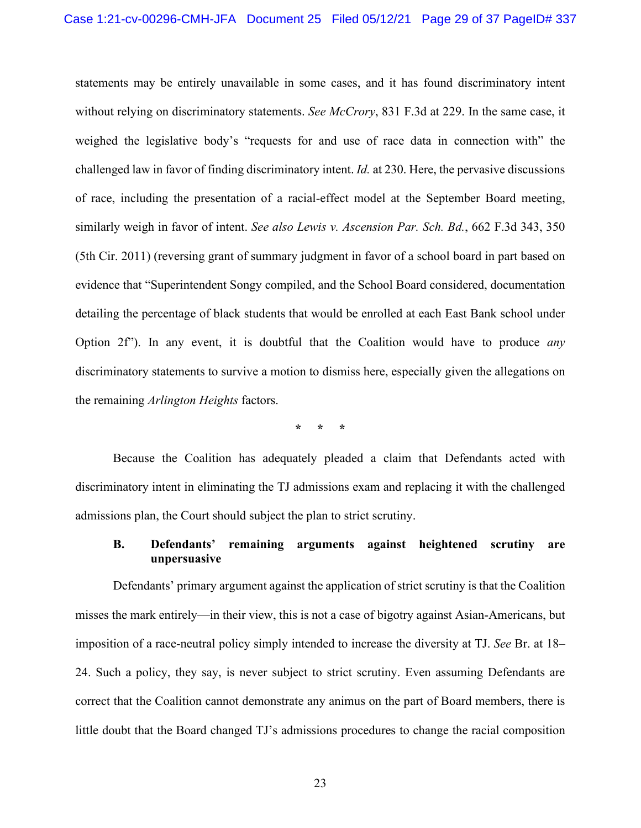<span id="page-28-1"></span>statements may be entirely unavailable in some cases, and it has found discriminatory intent without relying on discriminatory statements. *See McCrory*, 831 F.3d at 229. In the same case, it weighed the legislative body's "requests for and use of race data in connection with" the challenged law in favor of finding discriminatory intent. *Id.* at 230. Here, the pervasive discussions of race, including the presentation of a racial-effect model at the September Board meeting, similarly weigh in favor of intent. *See also Lewis v. Ascension Par. Sch. Bd.*, 662 F.3d 343, 350 (5th Cir. 2011) (reversing grant of summary judgment in favor of a school board in part based on evidence that "Superintendent Songy compiled, and the School Board considered, documentation detailing the percentage of black students that would be enrolled at each East Bank school under Option 2f"). In any event, it is doubtful that the Coalition would have to produce *any*  discriminatory statements to survive a motion to dismiss here, especially given the allegations on the remaining *Arlington Heights* factors.

<span id="page-28-0"></span>**\* \* \***

Because the Coalition has adequately pleaded a claim that Defendants acted with discriminatory intent in eliminating the TJ admissions exam and replacing it with the challenged admissions plan, the Court should subject the plan to strict scrutiny.

### **B. Defendants' remaining arguments against heightened scrutiny are unpersuasive**

Defendants' primary argument against the application of strict scrutiny is that the Coalition misses the mark entirely—in their view, this is not a case of bigotry against Asian-Americans, but imposition of a race-neutral policy simply intended to increase the diversity at TJ. *See* Br. at 18– 24. Such a policy, they say, is never subject to strict scrutiny. Even assuming Defendants are correct that the Coalition cannot demonstrate any animus on the part of Board members, there is little doubt that the Board changed TJ's admissions procedures to change the racial composition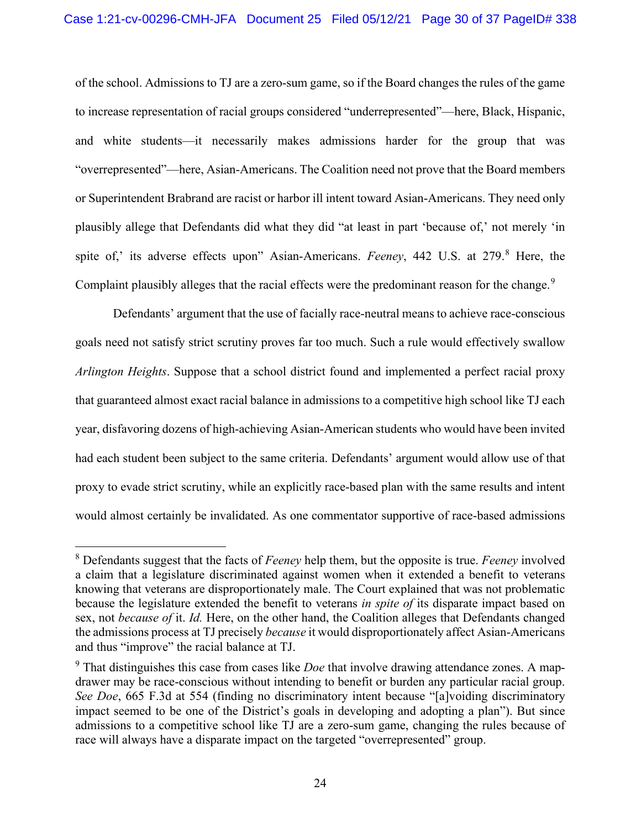of the school. Admissions to TJ are a zero-sum game, so if the Board changes the rules of the game to increase representation of racial groups considered "underrepresented"—here, Black, Hispanic, and white students—it necessarily makes admissions harder for the group that was "overrepresented"—here, Asian-Americans. The Coalition need not prove that the Board members or Superintendent Brabrand are racist or harbor ill intent toward Asian-Americans. They need only plausibly allege that Defendants did what they did "at least in part 'because of,' not merely 'in spite of,' its adverse effects upon" Asian-Americans. *Feeney*, 442 U.S. at 279.<sup>[8](#page-29-2)</sup> Here, the Complaint plausibly alleges that the racial effects were the predominant reason for the change.<sup>[9](#page-29-3)</sup>

<span id="page-29-1"></span>Defendants' argument that the use of facially race-neutral means to achieve race-conscious goals need not satisfy strict scrutiny proves far too much. Such a rule would effectively swallow *Arlington Heights*. Suppose that a school district found and implemented a perfect racial proxy that guaranteed almost exact racial balance in admissions to a competitive high school like TJ each year, disfavoring dozens of high-achieving Asian-American students who would have been invited had each student been subject to the same criteria. Defendants' argument would allow use of that proxy to evade strict scrutiny, while an explicitly race-based plan with the same results and intent would almost certainly be invalidated. As one commentator supportive of race-based admissions

<span id="page-29-2"></span><sup>8</sup> Defendants suggest that the facts of *Feeney* help them, but the opposite is true. *Feeney* involved a claim that a legislature discriminated against women when it extended a benefit to veterans knowing that veterans are disproportionately male. The Court explained that was not problematic because the legislature extended the benefit to veterans *in spite of* its disparate impact based on sex, not *because of* it. *Id.* Here, on the other hand, the Coalition alleges that Defendants changed the admissions process at TJ precisely *because* it would disproportionately affect Asian-Americans and thus "improve" the racial balance at TJ.

<span id="page-29-3"></span><span id="page-29-0"></span><sup>9</sup> That distinguishes this case from cases like *Doe* that involve drawing attendance zones. A mapdrawer may be race-conscious without intending to benefit or burden any particular racial group. *See Doe*, 665 F.3d at 554 (finding no discriminatory intent because "[a]voiding discriminatory impact seemed to be one of the District's goals in developing and adopting a plan"). But since admissions to a competitive school like TJ are a zero-sum game, changing the rules because of race will always have a disparate impact on the targeted "overrepresented" group.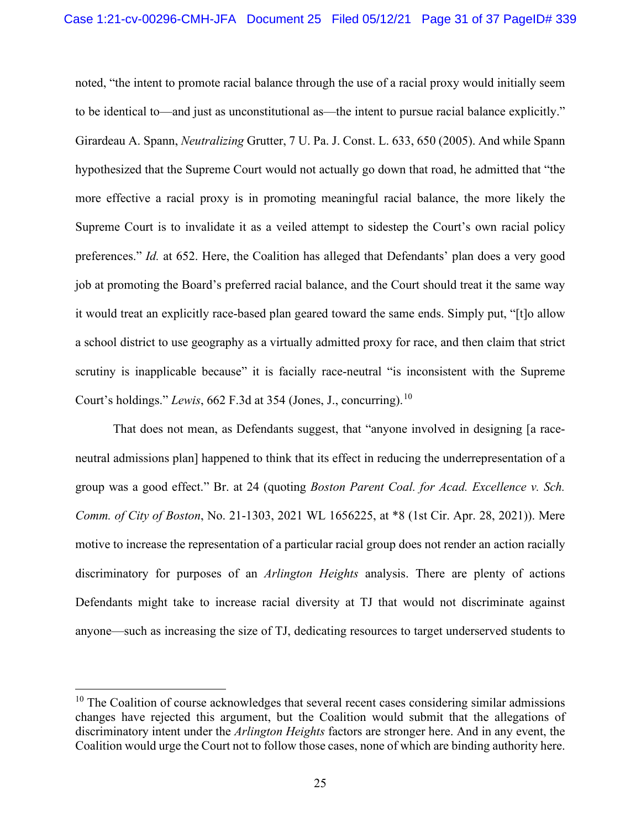<span id="page-30-2"></span>noted, "the intent to promote racial balance through the use of a racial proxy would initially seem to be identical to—and just as unconstitutional as—the intent to pursue racial balance explicitly." Girardeau A. Spann, *Neutralizing* Grutter, 7 U. Pa. J. Const. L. 633, 650 (2005). And while Spann hypothesized that the Supreme Court would not actually go down that road, he admitted that "the more effective a racial proxy is in promoting meaningful racial balance, the more likely the Supreme Court is to invalidate it as a veiled attempt to sidestep the Court's own racial policy preferences." *Id.* at 652. Here, the Coalition has alleged that Defendants' plan does a very good job at promoting the Board's preferred racial balance, and the Court should treat it the same way it would treat an explicitly race-based plan geared toward the same ends. Simply put, "[t]o allow a school district to use geography as a virtually admitted proxy for race, and then claim that strict scrutiny is inapplicable because" it is facially race-neutral "is inconsistent with the Supreme Court's holdings." *Lewis*, 662 F.3d at 354 (Jones, J., concurring).<sup>[10](#page-30-3)</sup>

<span id="page-30-1"></span><span id="page-30-0"></span>That does not mean, as Defendants suggest, that "anyone involved in designing [a raceneutral admissions plan] happened to think that its effect in reducing the underrepresentation of a group was a good effect." Br. at 24 (quoting *Boston Parent Coal. for Acad. Excellence v. Sch. Comm. of City of Boston*, No. 21-1303, 2021 WL 1656225, at \*8 (1st Cir. Apr. 28, 2021)). Mere motive to increase the representation of a particular racial group does not render an action racially discriminatory for purposes of an *Arlington Heights* analysis. There are plenty of actions Defendants might take to increase racial diversity at TJ that would not discriminate against anyone—such as increasing the size of TJ, dedicating resources to target underserved students to

<span id="page-30-3"></span> $10$  The Coalition of course acknowledges that several recent cases considering similar admissions changes have rejected this argument, but the Coalition would submit that the allegations of discriminatory intent under the *Arlington Heights* factors are stronger here. And in any event, the Coalition would urge the Court not to follow those cases, none of which are binding authority here.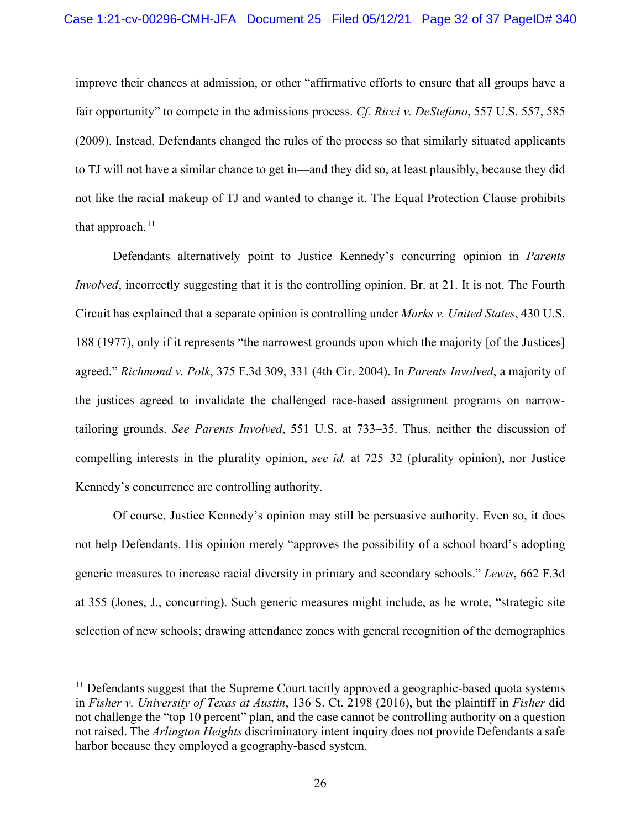<span id="page-31-4"></span>improve their chances at admission, or other "affirmative efforts to ensure that all groups have a fair opportunity" to compete in the admissions process. *Cf. Ricci v. DeStefano*, 557 U.S. 557, 585 (2009). Instead, Defendants changed the rules of the process so that similarly situated applicants to TJ will not have a similar chance to get in—and they did so, at least plausibly, because they did not like the racial makeup of TJ and wanted to change it. The Equal Protection Clause prohibits that approach. $11$ 

<span id="page-31-5"></span><span id="page-31-3"></span><span id="page-31-2"></span>Defendants alternatively point to Justice Kennedy's concurring opinion in *Parents Involved*, incorrectly suggesting that it is the controlling opinion. Br. at 21. It is not. The Fourth Circuit has explained that a separate opinion is controlling under *Marks v. United States*, 430 U.S. 188 (1977), only if it represents "the narrowest grounds upon which the majority [of the Justices] agreed." *Richmond v. Polk*, 375 F.3d 309, 331 (4th Cir. 2004). In *Parents Involved*, a majority of the justices agreed to invalidate the challenged race-based assignment programs on narrowtailoring grounds. *See Parents Involved*, 551 U.S. at 733–35. Thus, neither the discussion of compelling interests in the plurality opinion, *see id.* at 725–32 (plurality opinion), nor Justice Kennedy's concurrence are controlling authority.

<span id="page-31-1"></span>Of course, Justice Kennedy's opinion may still be persuasive authority. Even so, it does not help Defendants. His opinion merely "approves the possibility of a school board's adopting generic measures to increase racial diversity in primary and secondary schools." *Lewis*, 662 F.3d at 355 (Jones, J., concurring). Such generic measures might include, as he wrote, "strategic site selection of new schools; drawing attendance zones with general recognition of the demographics

<span id="page-31-6"></span><span id="page-31-0"></span> $11$  Defendants suggest that the Supreme Court tacitly approved a geographic-based quota systems in *Fisher v. University of Texas at Austin*, 136 S. Ct. 2198 (2016), but the plaintiff in *Fisher* did not challenge the "top 10 percent" plan, and the case cannot be controlling authority on a question not raised. The *Arlington Heights* discriminatory intent inquiry does not provide Defendants a safe harbor because they employed a geography-based system.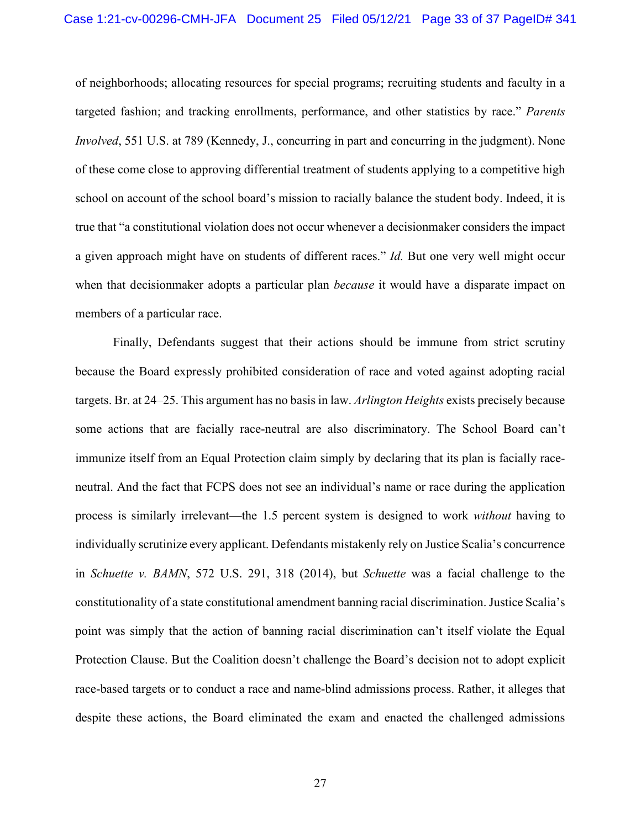of neighborhoods; allocating resources for special programs; recruiting students and faculty in a targeted fashion; and tracking enrollments, performance, and other statistics by race." *Parents Involved*, 551 U.S. at 789 (Kennedy, J., concurring in part and concurring in the judgment). None of these come close to approving differential treatment of students applying to a competitive high school on account of the school board's mission to racially balance the student body. Indeed, it is true that "a constitutional violation does not occur whenever a decisionmaker considers the impact a given approach might have on students of different races." *Id.* But one very well might occur when that decisionmaker adopts a particular plan *because* it would have a disparate impact on members of a particular race.

<span id="page-32-0"></span>Finally, Defendants suggest that their actions should be immune from strict scrutiny because the Board expressly prohibited consideration of race and voted against adopting racial targets. Br. at 24–25. This argument has no basis in law. *Arlington Heights* exists precisely because some actions that are facially race-neutral are also discriminatory. The School Board can't immunize itself from an Equal Protection claim simply by declaring that its plan is facially raceneutral. And the fact that FCPS does not see an individual's name or race during the application process is similarly irrelevant—the 1.5 percent system is designed to work *without* having to individually scrutinize every applicant. Defendants mistakenly rely on Justice Scalia's concurrence in *Schuette v. BAMN*, 572 U.S. 291, 318 (2014), but *Schuette* was a facial challenge to the constitutionality of a state constitutional amendment banning racial discrimination. Justice Scalia's point was simply that the action of banning racial discrimination can't itself violate the Equal Protection Clause. But the Coalition doesn't challenge the Board's decision not to adopt explicit race-based targets or to conduct a race and name-blind admissions process. Rather, it alleges that despite these actions, the Board eliminated the exam and enacted the challenged admissions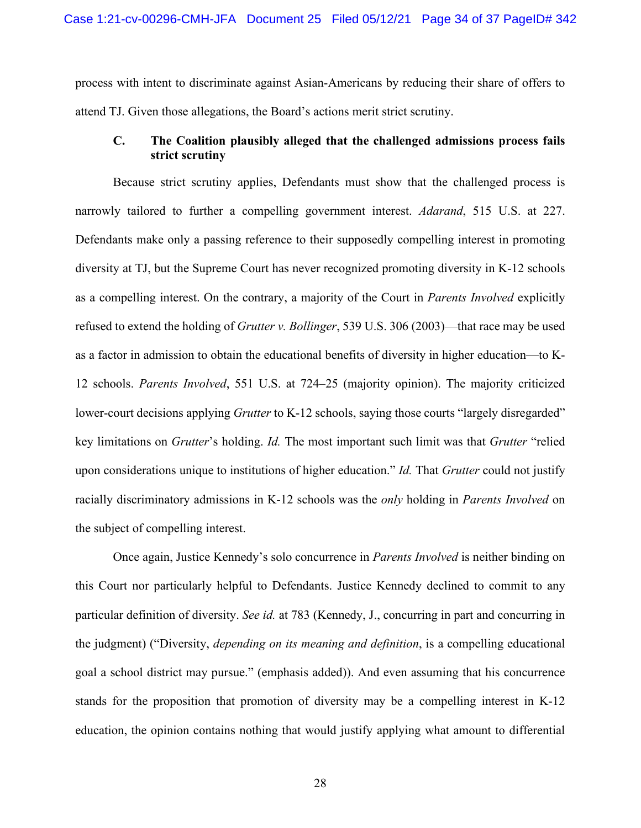process with intent to discriminate against Asian-Americans by reducing their share of offers to attend TJ. Given those allegations, the Board's actions merit strict scrutiny.

## <span id="page-33-0"></span>**C. The Coalition plausibly alleged that the challenged admissions process fails strict scrutiny**

<span id="page-33-1"></span>Because strict scrutiny applies, Defendants must show that the challenged process is narrowly tailored to further a compelling government interest. *Adarand*, 515 U.S. at 227. Defendants make only a passing reference to their supposedly compelling interest in promoting diversity at TJ, but the Supreme Court has never recognized promoting diversity in K-12 schools as a compelling interest. On the contrary, a majority of the Court in *Parents Involved* explicitly refused to extend the holding of *Grutter v. Bollinger*, 539 U.S. 306 (2003)—that race may be used as a factor in admission to obtain the educational benefits of diversity in higher education—to K-12 schools. *Parents Involved*, 551 U.S. at 724–25 (majority opinion). The majority criticized lower-court decisions applying *Grutter* to K-12 schools, saying those courts "largely disregarded" key limitations on *Grutter*'s holding. *Id.* The most important such limit was that *Grutter* "relied upon considerations unique to institutions of higher education." *Id.* That *Grutter* could not justify racially discriminatory admissions in K-12 schools was the *only* holding in *Parents Involved* on the subject of compelling interest.

Once again, Justice Kennedy's solo concurrence in *Parents Involved* is neither binding on this Court nor particularly helpful to Defendants. Justice Kennedy declined to commit to any particular definition of diversity. *See id.* at 783 (Kennedy, J., concurring in part and concurring in the judgment) ("Diversity, *depending on its meaning and definition*, is a compelling educational goal a school district may pursue." (emphasis added)). And even assuming that his concurrence stands for the proposition that promotion of diversity may be a compelling interest in K-12 education, the opinion contains nothing that would justify applying what amount to differential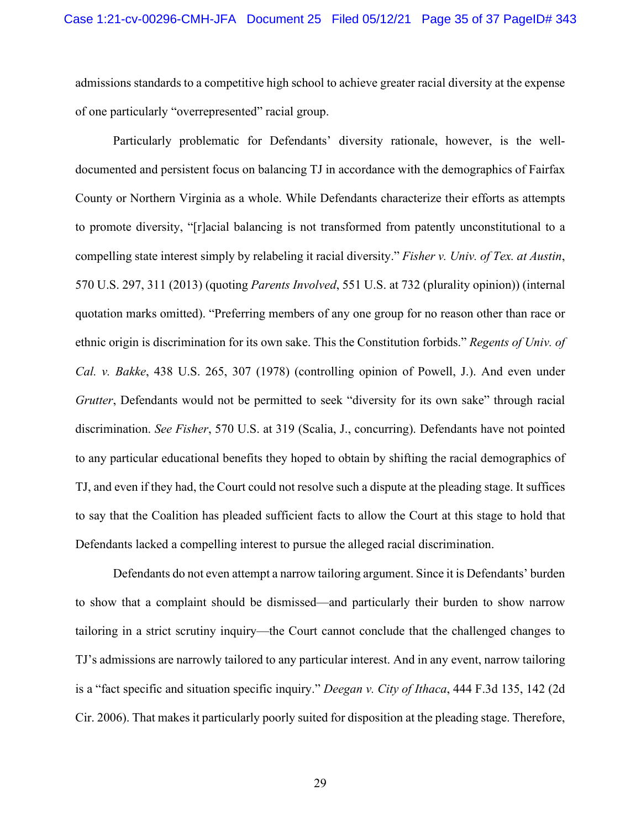admissions standards to a competitive high school to achieve greater racial diversity at the expense of one particularly "overrepresented" racial group.

<span id="page-34-3"></span><span id="page-34-2"></span><span id="page-34-1"></span>Particularly problematic for Defendants' diversity rationale, however, is the welldocumented and persistent focus on balancing TJ in accordance with the demographics of Fairfax County or Northern Virginia as a whole. While Defendants characterize their efforts as attempts to promote diversity, "[r]acial balancing is not transformed from patently unconstitutional to a compelling state interest simply by relabeling it racial diversity." *Fisher v. Univ. of Tex. at Austin*, 570 U.S. 297, 311 (2013) (quoting *Parents Involved*, 551 U.S. at 732 (plurality opinion)) (internal quotation marks omitted). "Preferring members of any one group for no reason other than race or ethnic origin is discrimination for its own sake. This the Constitution forbids." *Regents of Univ. of Cal. v. Bakke*, 438 U.S. 265, 307 (1978) (controlling opinion of Powell, J.). And even under *Grutter*, Defendants would not be permitted to seek "diversity for its own sake" through racial discrimination. *See Fisher*, 570 U.S. at 319 (Scalia, J., concurring). Defendants have not pointed to any particular educational benefits they hoped to obtain by shifting the racial demographics of TJ, and even if they had, the Court could not resolve such a dispute at the pleading stage. It suffices to say that the Coalition has pleaded sufficient facts to allow the Court at this stage to hold that Defendants lacked a compelling interest to pursue the alleged racial discrimination.

<span id="page-34-0"></span>Defendants do not even attempt a narrow tailoring argument. Since it is Defendants' burden to show that a complaint should be dismissed—and particularly their burden to show narrow tailoring in a strict scrutiny inquiry—the Court cannot conclude that the challenged changes to TJ's admissions are narrowly tailored to any particular interest. And in any event, narrow tailoring is a "fact specific and situation specific inquiry." *Deegan v. City of Ithaca*, 444 F.3d 135, 142 (2d Cir. 2006). That makes it particularly poorly suited for disposition at the pleading stage. Therefore,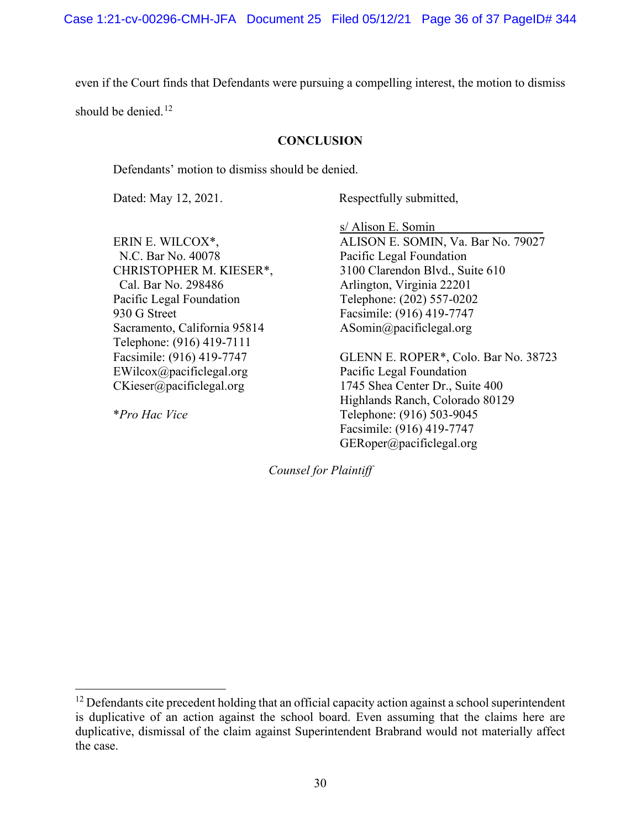even if the Court finds that Defendants were pursuing a compelling interest, the motion to dismiss

should be denied. $12$ 

#### **CONCLUSION**

Defendants' motion to dismiss should be denied.

Dated: May 12, 2021. Respectfully submitted,

ERIN E. WILCOX\*, N.C. Bar No. 40078 CHRISTOPHER M. KIESER\*, Cal. Bar No. 298486 Pacific Legal Foundation 930 G Street Sacramento, California 95814 Telephone: (916) 419-7111 Facsimile: (916) 419-7747 EWilcox@pacificlegal.org CKieser@pacificlegal.org

\**Pro Hac Vice*

s/ Alison E. Somin ALISON E. SOMIN, Va. Bar No. 79027 Pacific Legal Foundation 3100 Clarendon Blvd., Suite 610 Arlington, Virginia 22201 Telephone: (202) 557-0202 Facsimile: (916) 419-7747 ASomin@pacificlegal.org

GLENN E. ROPER\*, Colo. Bar No. 38723 Pacific Legal Foundation 1745 Shea Center Dr., Suite 400 Highlands Ranch, Colorado 80129 Telephone: (916) 503-9045 Facsimile: (916) 419-7747 GERoper@pacificlegal.org

*Counsel for Plaintiff*

<span id="page-35-0"></span> $12$  Defendants cite precedent holding that an official capacity action against a school superintendent is duplicative of an action against the school board. Even assuming that the claims here are duplicative, dismissal of the claim against Superintendent Brabrand would not materially affect the case.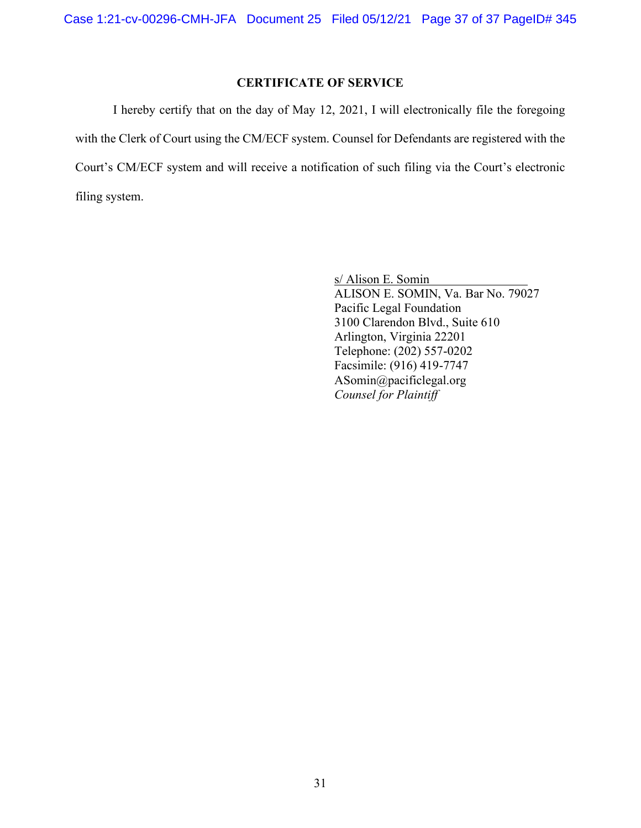# **CERTIFICATE OF SERVICE**

I hereby certify that on the day of May 12, 2021, I will electronically file the foregoing with the Clerk of Court using the CM/ECF system. Counsel for Defendants are registered with the Court's CM/ECF system and will receive a notification of such filing via the Court's electronic filing system.

> s/ Alison E. Somin ALISON E. SOMIN, Va. Bar No. 79027 Pacific Legal Foundation 3100 Clarendon Blvd., Suite 610 Arlington, Virginia 22201 Telephone: (202) 557-0202 Facsimile: (916) 419-7747 ASomin@pacificlegal.org *Counsel for Plaintiff*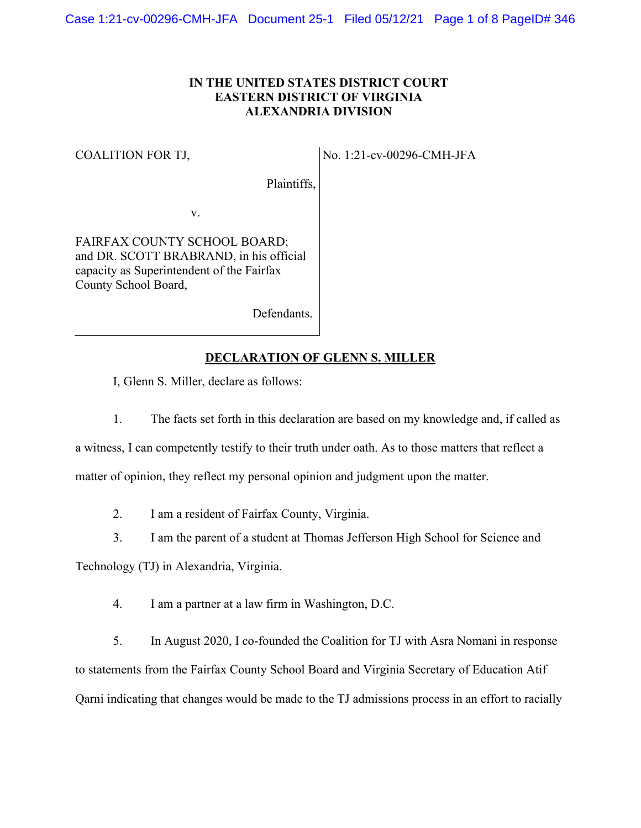### **IN THE UNITED STATES DISTRICT COURT EASTERN DISTRICT OF VIRGINIA ALEXANDRIA DIVISION**

#### COALITION FOR TJ,

No. 1:21-cv-00296-CMH-JFA

Plaintiffs,

v.

FAIRFAX COUNTY SCHOOL BOARD; and DR. SCOTT BRABRAND, in his official capacity as Superintendent of the Fairfax County School Board,

Defendants.

#### **DECLARATION OF GLENN S. MILLER**

I, Glenn S. Miller, declare as follows:

1. The facts set forth in this declaration are based on my knowledge and, if called as

a witness, I can competently testify to their truth under oath. As to those matters that reflect a matter of opinion, they reflect my personal opinion and judgment upon the matter.

2. I am a resident of Fairfax County, Virginia.

3. I am the parent of a student at Thomas Jefferson High School for Science and

Technology (TJ) in Alexandria, Virginia.

4. I am a partner at a law firm in Washington, D.C.

5. In August 2020, I co-founded the Coalition for TJ with Asra Nomani in response to statements from the Fairfax County School Board and Virginia Secretary of Education Atif Qarni indicating that changes would be made to the TJ admissions process in an effort to racially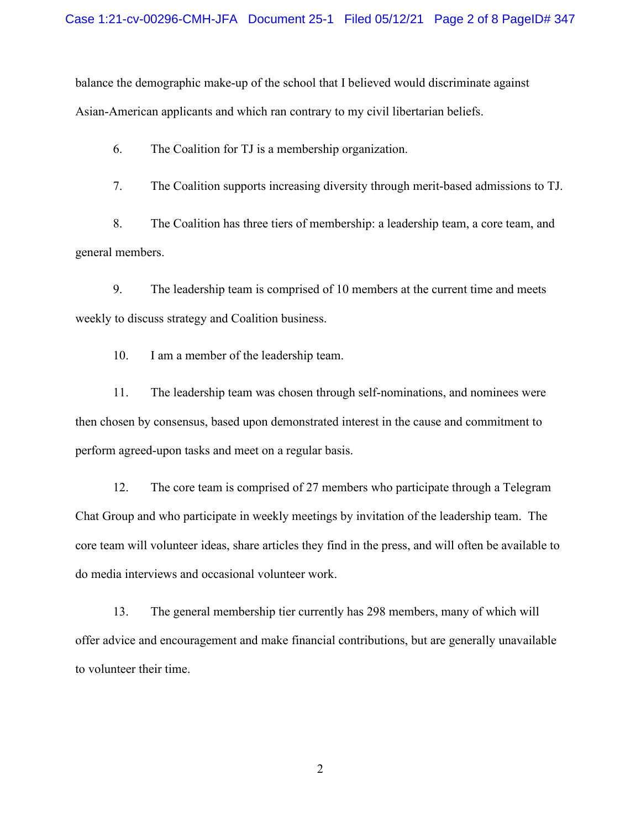balance the demographic make-up of the school that I believed would discriminate against Asian-American applicants and which ran contrary to my civil libertarian beliefs.

6. The Coalition for TJ is a membership organization.

7. The Coalition supports increasing diversity through merit-based admissions to TJ.

8. The Coalition has three tiers of membership: a leadership team, a core team, and general members.

9. The leadership team is comprised of 10 members at the current time and meets weekly to discuss strategy and Coalition business.

10. I am a member of the leadership team.

11. The leadership team was chosen through self-nominations, and nominees were then chosen by consensus, based upon demonstrated interest in the cause and commitment to perform agreed-upon tasks and meet on a regular basis.

12. The core team is comprised of 27 members who participate through a Telegram Chat Group and who participate in weekly meetings by invitation of the leadership team. The core team will volunteer ideas, share articles they find in the press, and will often be available to do media interviews and occasional volunteer work.

13. The general membership tier currently has 298 members, many of which will offer advice and encouragement and make financial contributions, but are generally unavailable to volunteer their time.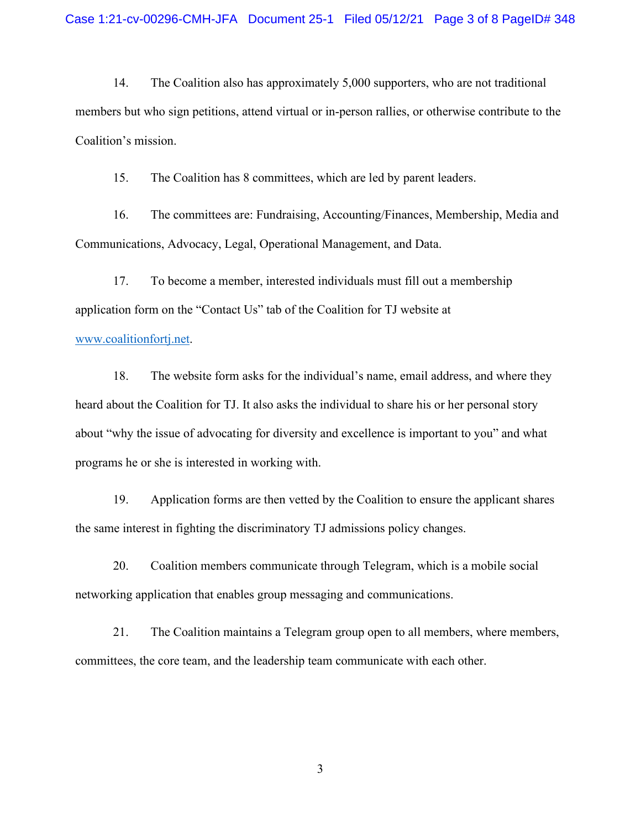14. The Coalition also has approximately 5,000 supporters, who are not traditional members but who sign petitions, attend virtual or in-person rallies, or otherwise contribute to the Coalition's mission.

15. The Coalition has 8 committees, which are led by parent leaders.

16. The committees are: Fundraising, Accounting/Finances, Membership, Media and Communications, Advocacy, Legal, Operational Management, and Data.

17. To become a member, interested individuals must fill out a membership application form on the "Contact Us" tab of the Coalition for TJ website at

#### [www.coalitionfortj.net.](http://www.coalitionfortj.net/)

18. The website form asks for the individual's name, email address, and where they heard about the Coalition for TJ. It also asks the individual to share his or her personal story about "why the issue of advocating for diversity and excellence is important to you" and what programs he or she is interested in working with.

19. Application forms are then vetted by the Coalition to ensure the applicant shares the same interest in fighting the discriminatory TJ admissions policy changes.

20. Coalition members communicate through Telegram, which is a mobile social networking application that enables group messaging and communications.

21. The Coalition maintains a Telegram group open to all members, where members, committees, the core team, and the leadership team communicate with each other.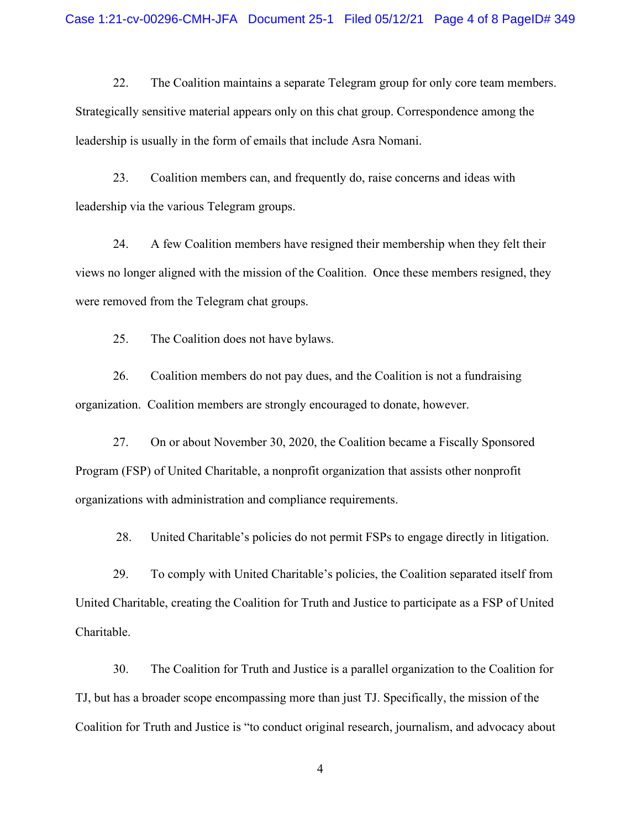22. The Coalition maintains a separate Telegram group for only core team members. Strategically sensitive material appears only on this chat group. Correspondence among the leadership is usually in the form of emails that include Asra Nomani.

23. Coalition members can, and frequently do, raise concerns and ideas with leadership via the various Telegram groups.

24. A few Coalition members have resigned their membership when they felt their views no longer aligned with the mission of the Coalition. Once these members resigned, they were removed from the Telegram chat groups.

25. The Coalition does not have bylaws.

26. Coalition members do not pay dues, and the Coalition is not a fundraising organization. Coalition members are strongly encouraged to donate, however.

27. On or about November 30, 2020, the Coalition became a Fiscally Sponsored Program (FSP) of United Charitable, a nonprofit organization that assists other nonprofit organizations with administration and compliance requirements.

28. United Charitable's policies do not permit FSPs to engage directly in litigation.

29. To comply with United Charitable's policies, the Coalition separated itself from United Charitable, creating the Coalition for Truth and Justice to participate as a FSP of United Charitable.

30. The Coalition for Truth and Justice is a parallel organization to the Coalition for TJ, but has a broader scope encompassing more than just TJ. Specifically, the mission of the Coalition for Truth and Justice is "to conduct original research, journalism, and advocacy about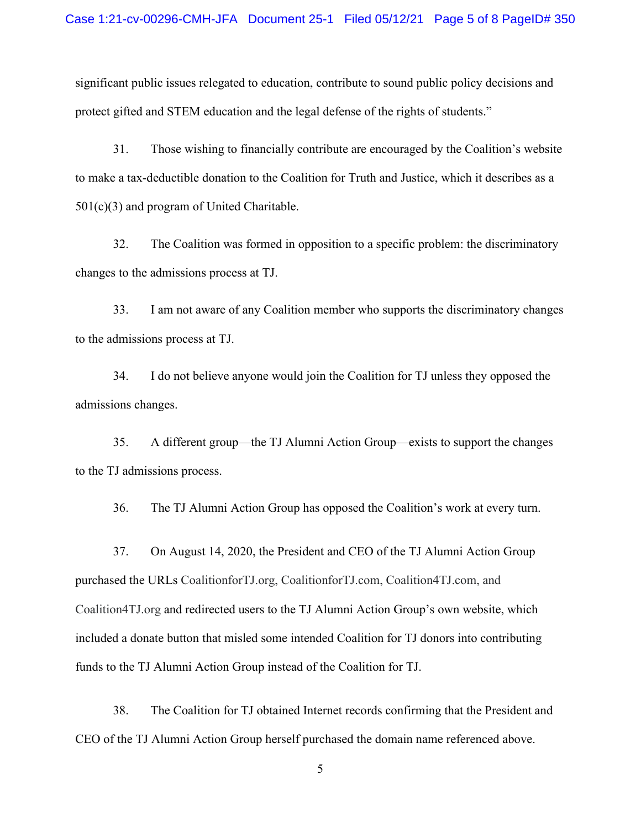significant public issues relegated to education, contribute to sound public policy decisions and protect gifted and STEM education and the legal defense of the rights of students."

31. Those wishing to financially contribute are encouraged by the Coalition's website to make a tax-deductible donation to the Coalition for Truth and Justice, which it describes as a 501(c)(3) and program of United Charitable.

32. The Coalition was formed in opposition to a specific problem: the discriminatory changes to the admissions process at TJ.

33. I am not aware of any Coalition member who supports the discriminatory changes to the admissions process at TJ.

34. I do not believe anyone would join the Coalition for TJ unless they opposed the admissions changes.

35. A different group—the TJ Alumni Action Group—exists to support the changes to the TJ admissions process.

36. The TJ Alumni Action Group has opposed the Coalition's work at every turn.

37. On August 14, 2020, the President and CEO of the TJ Alumni Action Group purchased the URLs CoalitionforTJ.org, CoalitionforTJ.com, Coalition4TJ.com, and Coalition4TJ.org and redirected users to the TJ Alumni Action Group's own website, which included a donate button that misled some intended Coalition for TJ donors into contributing funds to the TJ Alumni Action Group instead of the Coalition for TJ.

38. The Coalition for TJ obtained Internet records confirming that the President and CEO of the TJ Alumni Action Group herself purchased the domain name referenced above.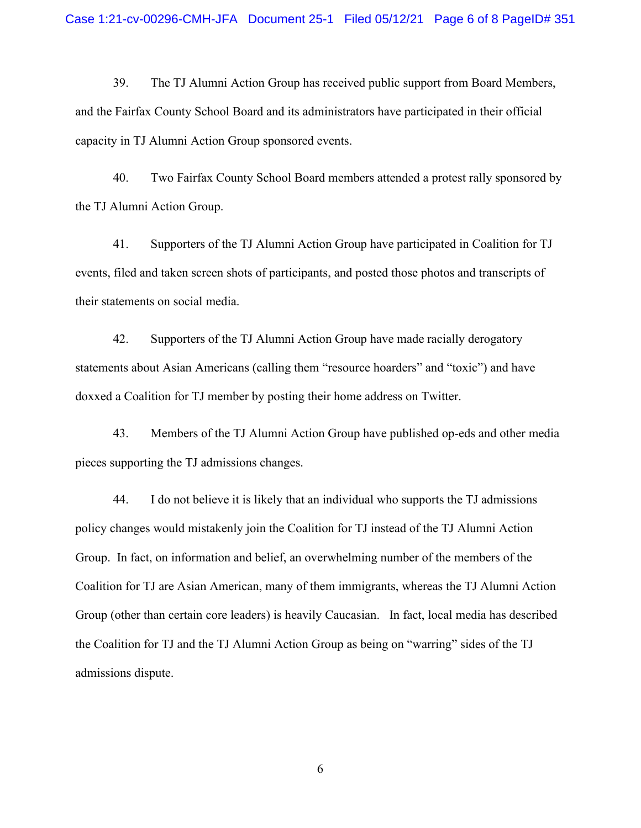39. The TJ Alumni Action Group has received public support from Board Members, and the Fairfax County School Board and its administrators have participated in their official capacity in TJ Alumni Action Group sponsored events.

40. Two Fairfax County School Board members attended a protest rally sponsored by the TJ Alumni Action Group.

41. Supporters of the TJ Alumni Action Group have participated in Coalition for TJ events, filed and taken screen shots of participants, and posted those photos and transcripts of their statements on social media.

42. Supporters of the TJ Alumni Action Group have made racially derogatory statements about Asian Americans (calling them "resource hoarders" and "toxic") and have doxxed a Coalition for TJ member by posting their home address on Twitter.

43. Members of the TJ Alumni Action Group have published op-eds and other media pieces supporting the TJ admissions changes.

44. I do not believe it is likely that an individual who supports the TJ admissions policy changes would mistakenly join the Coalition for TJ instead of the TJ Alumni Action Group. In fact, on information and belief, an overwhelming number of the members of the Coalition for TJ are Asian American, many of them immigrants, whereas the TJ Alumni Action Group (other than certain core leaders) is heavily Caucasian. In fact, local media has described the Coalition for TJ and the TJ Alumni Action Group as being on "warring" sides of the TJ admissions dispute.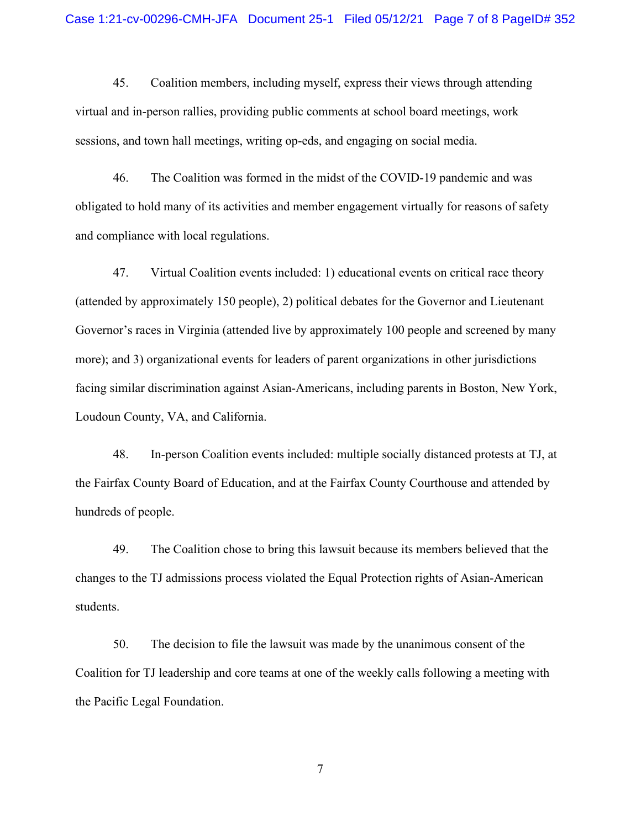45. Coalition members, including myself, express their views through attending virtual and in-person rallies, providing public comments at school board meetings, work sessions, and town hall meetings, writing op-eds, and engaging on social media.

46. The Coalition was formed in the midst of the COVID-19 pandemic and was obligated to hold many of its activities and member engagement virtually for reasons of safety and compliance with local regulations.

47. Virtual Coalition events included: 1) educational events on critical race theory (attended by approximately 150 people), 2) political debates for the Governor and Lieutenant Governor's races in Virginia (attended live by approximately 100 people and screened by many more); and 3) organizational events for leaders of parent organizations in other jurisdictions facing similar discrimination against Asian-Americans, including parents in Boston, New York, Loudoun County, VA, and California.

48. In-person Coalition events included: multiple socially distanced protests at TJ, at the Fairfax County Board of Education, and at the Fairfax County Courthouse and attended by hundreds of people.

49. The Coalition chose to bring this lawsuit because its members believed that the changes to the TJ admissions process violated the Equal Protection rights of Asian-American students.

50. The decision to file the lawsuit was made by the unanimous consent of the Coalition for TJ leadership and core teams at one of the weekly calls following a meeting with the Pacific Legal Foundation.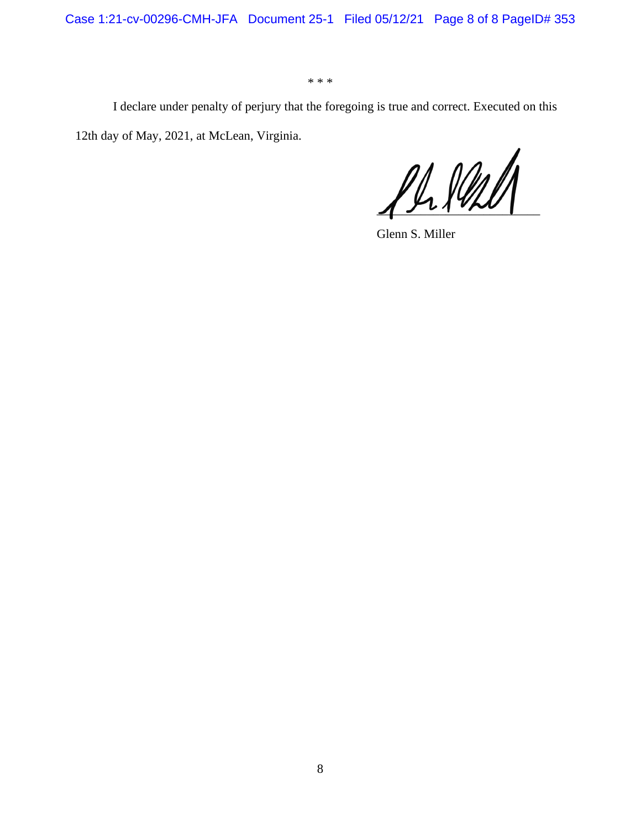Case 1:21-cv-00296-CMH-JFA Document 25-1 Filed 05/12/21 Page 8 of 8 PageID# 353

\* \* \*

I declare under penalty of perjury that the foregoing is true and correct. Executed on this 12th day of May, 2021, at McLean, Virginia.

 $\frac{\rho\mu\mu\ell\ell}$ 

Glenn S. Miller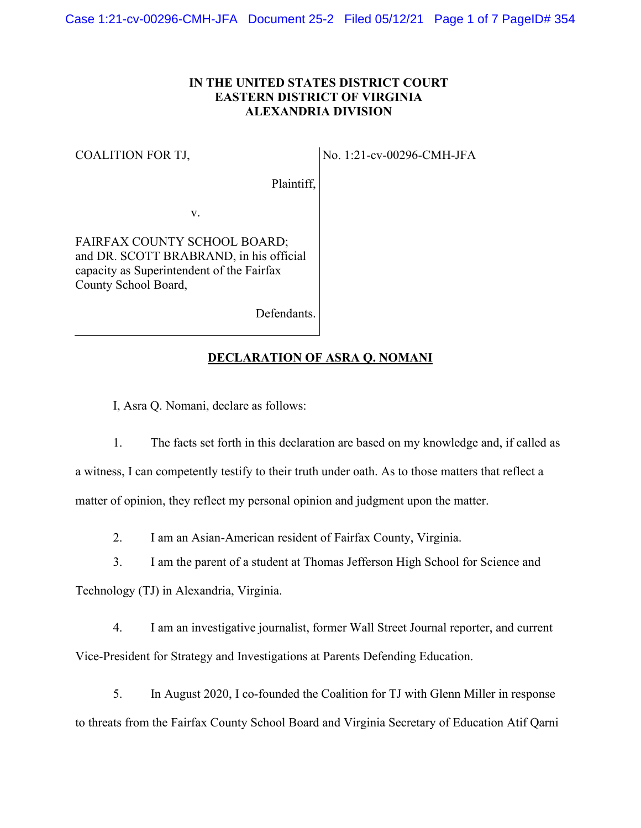## **IN THE UNITED STATES DISTRICT COURT EASTERN DISTRICT OF VIRGINIA ALEXANDRIA DIVISION**

#### COALITION FOR TJ,

No. 1:21-cv-00296-CMH-JFA

Plaintiff,

v.

FAIRFAX COUNTY SCHOOL BOARD; and DR. SCOTT BRABRAND, in his official capacity as Superintendent of the Fairfax County School Board,

Defendants.

### **DECLARATION OF ASRA Q. NOMANI**

I, Asra Q. Nomani, declare as follows:

1. The facts set forth in this declaration are based on my knowledge and, if called as a witness, I can competently testify to their truth under oath. As to those matters that reflect a matter of opinion, they reflect my personal opinion and judgment upon the matter.

2. I am an Asian-American resident of Fairfax County, Virginia.

3. I am the parent of a student at Thomas Jefferson High School for Science and

Technology (TJ) in Alexandria, Virginia.

4. I am an investigative journalist, former Wall Street Journal reporter, and current Vice-President for Strategy and Investigations at Parents Defending Education.

5. In August 2020, I co-founded the Coalition for TJ with Glenn Miller in response to threats from the Fairfax County School Board and Virginia Secretary of Education Atif Qarni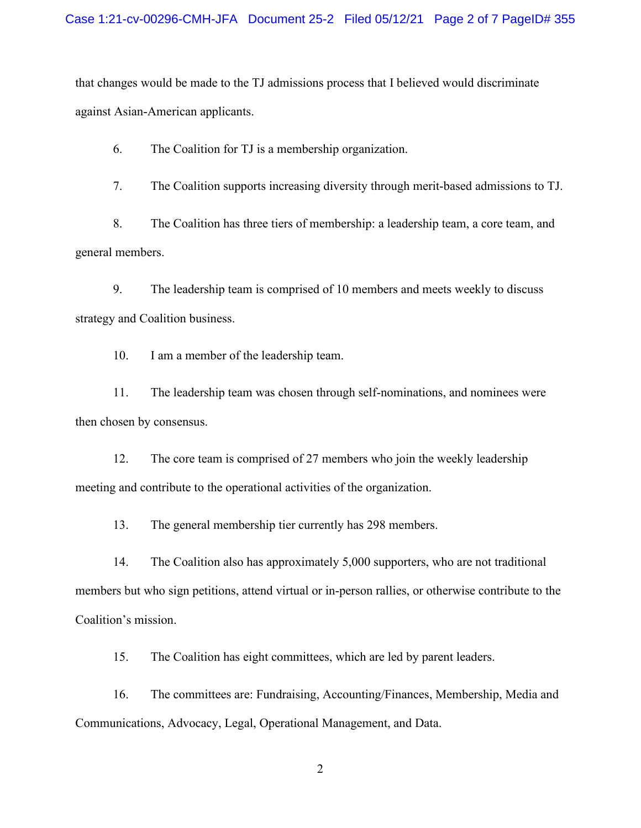that changes would be made to the TJ admissions process that I believed would discriminate against Asian-American applicants.

6. The Coalition for TJ is a membership organization.

7. The Coalition supports increasing diversity through merit-based admissions to TJ.

8. The Coalition has three tiers of membership: a leadership team, a core team, and general members.

9. The leadership team is comprised of 10 members and meets weekly to discuss strategy and Coalition business.

10. I am a member of the leadership team.

11. The leadership team was chosen through self-nominations, and nominees were then chosen by consensus.

12. The core team is comprised of 27 members who join the weekly leadership meeting and contribute to the operational activities of the organization.

13. The general membership tier currently has 298 members.

14. The Coalition also has approximately 5,000 supporters, who are not traditional members but who sign petitions, attend virtual or in-person rallies, or otherwise contribute to the Coalition's mission.

15. The Coalition has eight committees, which are led by parent leaders.

16. The committees are: Fundraising, Accounting/Finances, Membership, Media and Communications, Advocacy, Legal, Operational Management, and Data.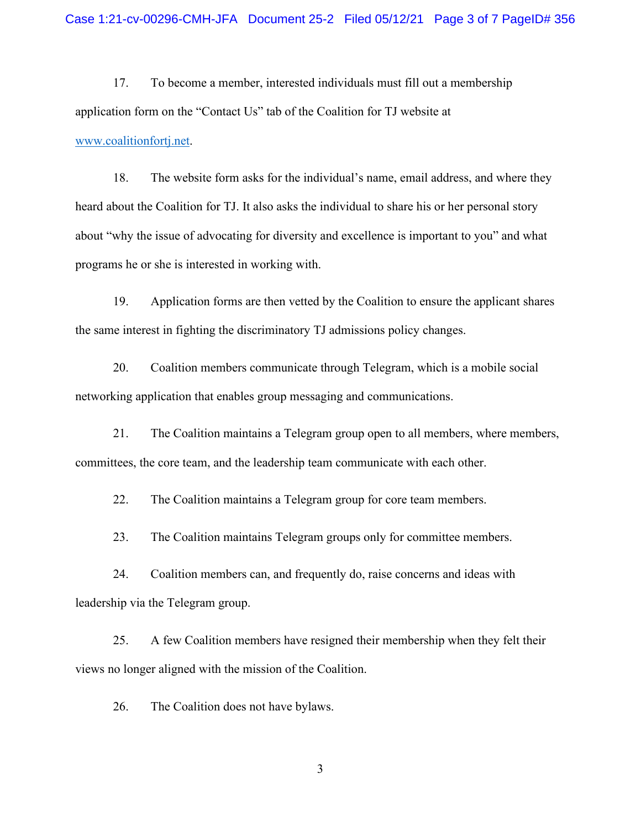17. To become a member, interested individuals must fill out a membership application form on the "Contact Us" tab of the Coalition for TJ website at [www.coalitionfortj.net.](http://www.coalitionfortj.net/)

18. The website form asks for the individual's name, email address, and where they heard about the Coalition for TJ. It also asks the individual to share his or her personal story about "why the issue of advocating for diversity and excellence is important to you" and what programs he or she is interested in working with.

19. Application forms are then vetted by the Coalition to ensure the applicant shares the same interest in fighting the discriminatory TJ admissions policy changes.

20. Coalition members communicate through Telegram, which is a mobile social networking application that enables group messaging and communications.

21. The Coalition maintains a Telegram group open to all members, where members, committees, the core team, and the leadership team communicate with each other.

22. The Coalition maintains a Telegram group for core team members.

23. The Coalition maintains Telegram groups only for committee members.

24. Coalition members can, and frequently do, raise concerns and ideas with leadership via the Telegram group.

25. A few Coalition members have resigned their membership when they felt their views no longer aligned with the mission of the Coalition.

26. The Coalition does not have bylaws.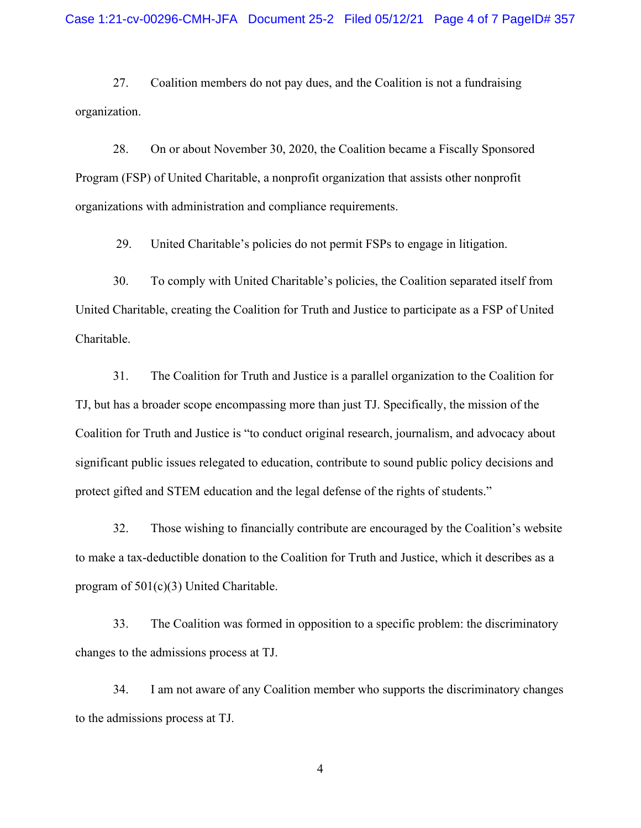27. Coalition members do not pay dues, and the Coalition is not a fundraising organization.

28. On or about November 30, 2020, the Coalition became a Fiscally Sponsored Program (FSP) of United Charitable, a nonprofit organization that assists other nonprofit organizations with administration and compliance requirements.

29. United Charitable's policies do not permit FSPs to engage in litigation.

30. To comply with United Charitable's policies, the Coalition separated itself from United Charitable, creating the Coalition for Truth and Justice to participate as a FSP of United Charitable.

31. The Coalition for Truth and Justice is a parallel organization to the Coalition for TJ, but has a broader scope encompassing more than just TJ. Specifically, the mission of the Coalition for Truth and Justice is "to conduct original research, journalism, and advocacy about significant public issues relegated to education, contribute to sound public policy decisions and protect gifted and STEM education and the legal defense of the rights of students."

32. Those wishing to financially contribute are encouraged by the Coalition's website to make a tax-deductible donation to the Coalition for Truth and Justice, which it describes as a program of 501(c)(3) United Charitable.

33. The Coalition was formed in opposition to a specific problem: the discriminatory changes to the admissions process at TJ.

34. I am not aware of any Coalition member who supports the discriminatory changes to the admissions process at TJ.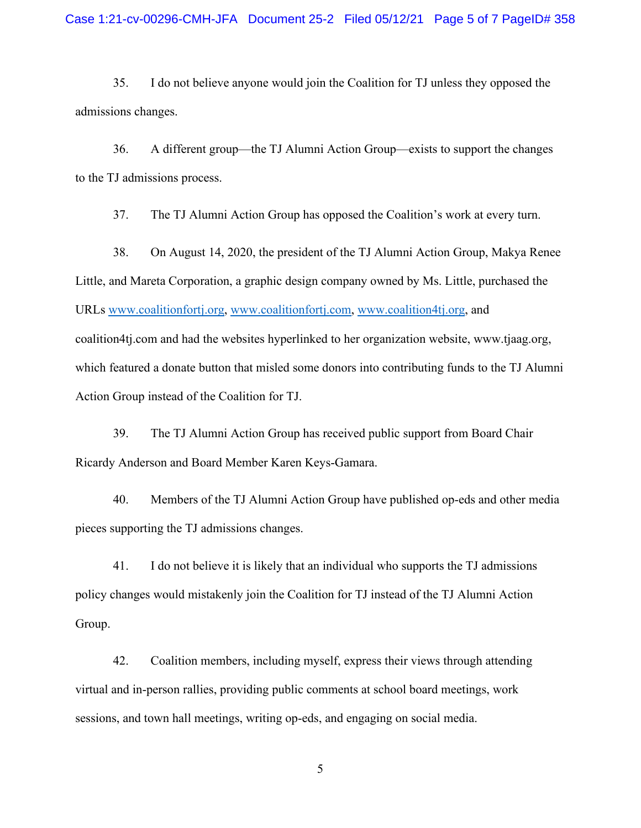35. I do not believe anyone would join the Coalition for TJ unless they opposed the admissions changes.

36. A different group—the TJ Alumni Action Group—exists to support the changes to the TJ admissions process.

37. The TJ Alumni Action Group has opposed the Coalition's work at every turn.

38. On August 14, 2020, the president of the TJ Alumni Action Group, Makya Renee Little, and Mareta Corporation, a graphic design company owned by Ms. Little, purchased the URLs [www.coalitionfortj.org,](http://www.coalitionfortj.org/) [www.coalitionfortj.com,](http://www.coalitionfortj.com/) [www.coalition4tj.org,](http://www.coalition4tj.org/) and coalition4tj.com and had the websites hyperlinked to her organization website, www.tjaag.org, which featured a donate button that misled some donors into contributing funds to the TJ Alumni Action Group instead of the Coalition for TJ.

39. The TJ Alumni Action Group has received public support from Board Chair Ricardy Anderson and Board Member Karen Keys-Gamara.

40. Members of the TJ Alumni Action Group have published op-eds and other media pieces supporting the TJ admissions changes.

41. I do not believe it is likely that an individual who supports the TJ admissions policy changes would mistakenly join the Coalition for TJ instead of the TJ Alumni Action Group.

42. Coalition members, including myself, express their views through attending virtual and in-person rallies, providing public comments at school board meetings, work sessions, and town hall meetings, writing op-eds, and engaging on social media.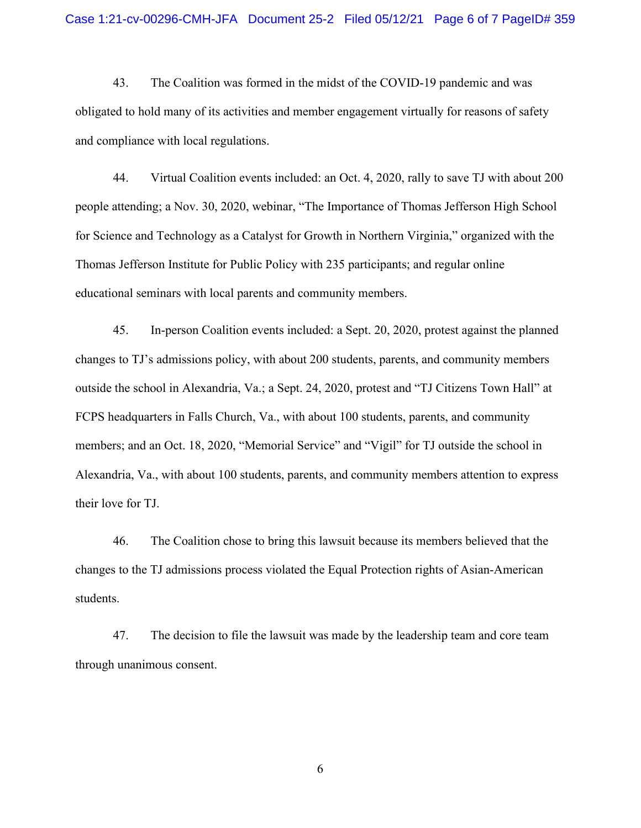43. The Coalition was formed in the midst of the COVID-19 pandemic and was obligated to hold many of its activities and member engagement virtually for reasons of safety and compliance with local regulations.

44. Virtual Coalition events included: an Oct. 4, 2020, rally to save TJ with about 200 people attending; a Nov. 30, 2020, webinar, "The Importance of Thomas Jefferson High School for Science and Technology as a Catalyst for Growth in Northern Virginia," organized with the Thomas Jefferson Institute for Public Policy with 235 participants; and regular online educational seminars with local parents and community members.

45. In-person Coalition events included: a Sept. 20, 2020, protest against the planned changes to TJ's admissions policy, with about 200 students, parents, and community members outside the school in Alexandria, Va.; a Sept. 24, 2020, protest and "TJ Citizens Town Hall" at FCPS headquarters in Falls Church, Va., with about 100 students, parents, and community members; and an Oct. 18, 2020, "Memorial Service" and "Vigil" for TJ outside the school in Alexandria, Va., with about 100 students, parents, and community members attention to express their love for TJ.

46. The Coalition chose to bring this lawsuit because its members believed that the changes to the TJ admissions process violated the Equal Protection rights of Asian-American students.

47. The decision to file the lawsuit was made by the leadership team and core team through unanimous consent.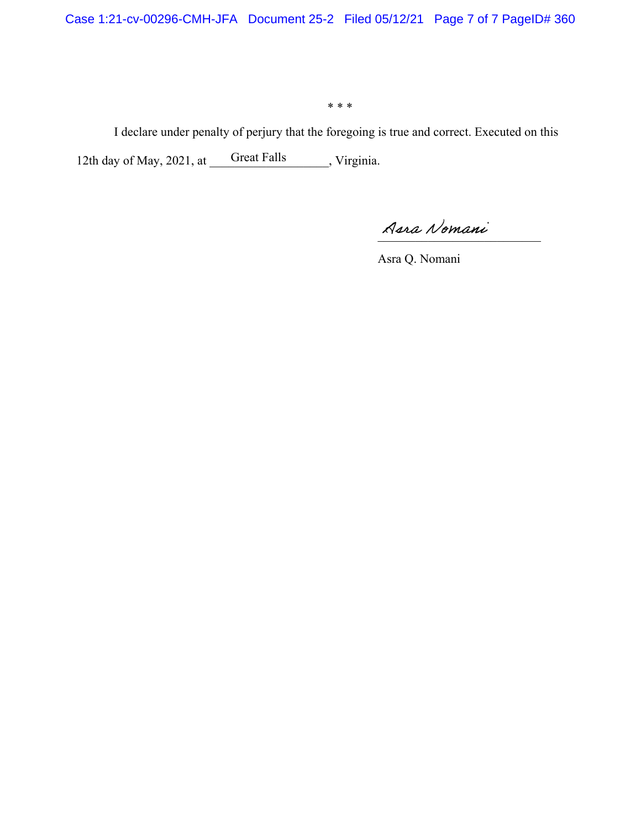\* \* \*

I declare under penalty of perjury that the foregoing is true and correct. Executed on this 12th day of May, 2021, at Great Falls , Virginia. Great Falls

\_\_\_\_\_\_\_\_\_\_\_\_\_\_\_\_\_\_\_\_\_\_\_\_\_\_

Asra Q. Nomani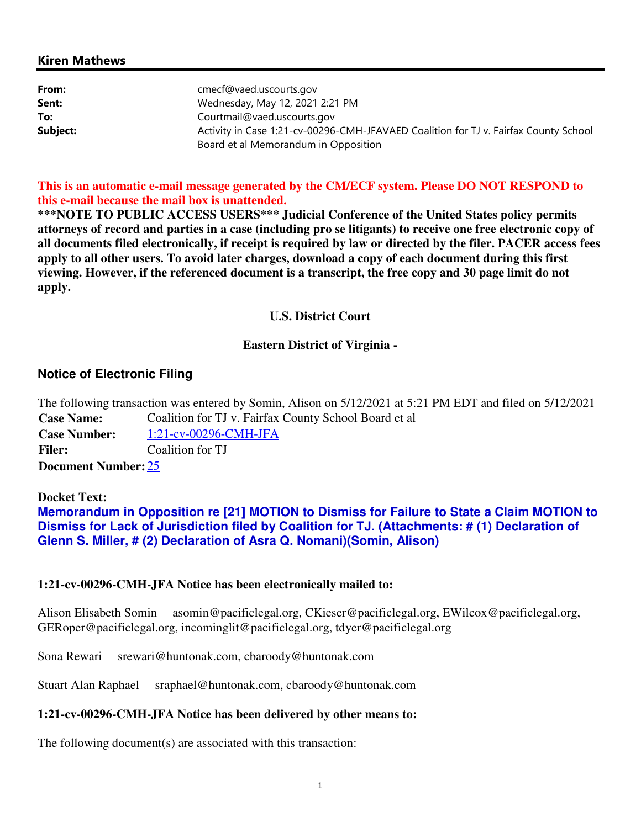### Kiren Mathews

| From:    | cmecf@vaed.uscourts.gov                                                              |
|----------|--------------------------------------------------------------------------------------|
| Sent:    | Wednesday, May 12, 2021 2:21 PM                                                      |
| To:      | Courtmail@vaed.uscourts.gov                                                          |
| Subject: | Activity in Case 1:21-cv-00296-CMH-JFAVAED Coalition for TJ v. Fairfax County School |
|          | Board et al Memorandum in Opposition                                                 |

**This is an automatic e-mail message generated by the CM/ECF system. Please DO NOT RESPOND to this e-mail because the mail box is unattended.** 

**\*\*\*NOTE TO PUBLIC ACCESS USERS\*\*\* Judicial Conference of the United States policy permits attorneys of record and parties in a case (including pro se litigants) to receive one free electronic copy of all documents filed electronically, if receipt is required by law or directed by the filer. PACER access fees apply to all other users. To avoid later charges, download a copy of each document during this first viewing. However, if the referenced document is a transcript, the free copy and 30 page limit do not apply.**

#### **U.S. District Court**

### **Eastern District of Virginia -**

# **Notice of Electronic Filing**

The following transaction was entered by Somin, Alison on 5/12/2021 at 5:21 PM EDT and filed on 5/12/2021 **Case Name:** Coalition for TJ v. Fairfax County School Board et al **Case Number:** 1:21-cv-00296-CMH-JFA Filer: Coalition for TJ **Document Number:** 25

**Docket Text:**

**Memorandum in Opposition re [21] MOTION to Dismiss for Failure to State a Claim MOTION to Dismiss for Lack of Jurisdiction filed by Coalition for TJ. (Attachments: # (1) Declaration of Glenn S. Miller, # (2) Declaration of Asra Q. Nomani)(Somin, Alison)** 

#### **1:21-cv-00296-CMH-JFA Notice has been electronically mailed to:**

Alison Elisabeth Somin asomin@pacificlegal.org, CKieser@pacificlegal.org, EWilcox@pacificlegal.org, GERoper@pacificlegal.org, incominglit@pacificlegal.org, tdyer@pacificlegal.org

Sona Rewari srewari@huntonak.com, cbaroody@huntonak.com

Stuart Alan Raphael sraphael@huntonak.com, cbaroody@huntonak.com

# **1:21-cv-00296-CMH-JFA Notice has been delivered by other means to:**

The following document(s) are associated with this transaction: